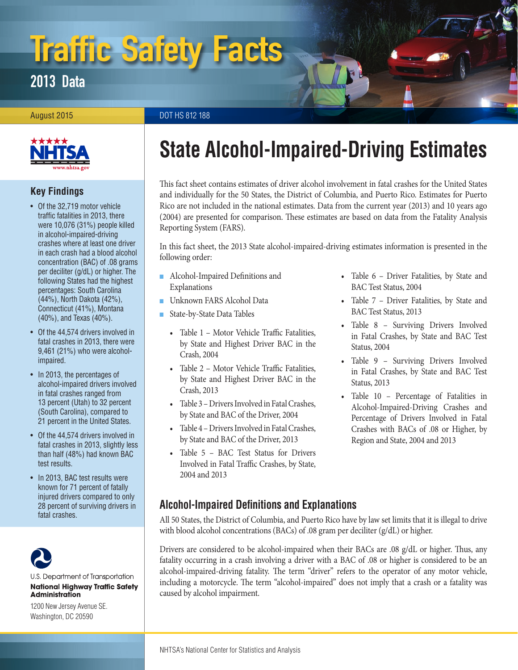# Traffic Safety Facts

2013 Data

#### August 2015 DOT HS 812 188



# **Key Findings**

- Of the 32,719 motor vehicle traffic fatalities in 2013, there were 10,076 (31%) people killed in alcohol-impaired-driving crashes where at least one driver in each crash had a blood alcohol concentration (BAC) of .08 grams per deciliter (g/dL) or higher. The following States had the highest percentages: South Carolina (44%), North Dakota (42%), Connecticut (41%), Montana (40%), and Texas (40%).
- Of the 44,574 drivers involved in fatal crashes in 2013, there were 9,461 (21%) who were alcoholimpaired.
- In 2013, the percentages of alcohol-impaired drivers involved in fatal crashes ranged from 13 percent (Utah) to 32 percent (South Carolina), compared to 21 percent in the United States.
- Of the 44,574 drivers involved in fatal crashes in 2013, slightly less than half (48%) had known BAC test results.
- In 2013, BAC test results were known for 71 percent of fatally injured drivers compared to only 28 percent of surviving drivers in fatal crashes.



U.S. Department of Transportation **National Highway Traffic Safety Administration** 

1200 New Jersey Avenue SE. Washington, DC 20590

# **State Alcohol-Impaired-Driving Estimates**

This fact sheet contains estimates of driver alcohol involvement in fatal crashes for the United States and individually for the 50 States, the District of Columbia, and Puerto Rico. Estimates for Puerto Rico are not included in the national estimates. Data from the current year (2013) and 10 years ago (2004) are presented for comparison. These estimates are based on data from the Fatality Analysis Reporting System (FARS).

In this fact sheet, the 2013 State alcohol-impaired-driving estimates information is presented in the following order:

- Alcohol-Impaired Definitions and [Explanations](#page-0-0)
- [Unknown FARS Alcohol Data](#page-1-0)
- [State-by-State Data Tables](#page-1-1)
	- [Table 1 Motor Vehicle Traffic Fatalities,](#page-3-0) [by State and Highest Driver BAC in the](#page-3-0) [Crash, 2004](#page-3-0)
	- [Table 2 Motor Vehicle Traffic Fatalities,](#page-4-0) [by State and Highest Driver BAC in the](#page-4-0) [Crash, 2013](#page-4-0)
	- [Table 3 Drivers Involved in Fatal Crashes,](#page-5-0) [by State and BAC of the Driver, 2004](#page-5-0)
	- [Table 4 Drivers Involved in Fatal Crashes,](#page-6-0) [by State and BAC of the Driver, 2013](#page-6-0)
	- [Table 5 BAC Test Status for Drivers](#page-7-0) [Involved in Fatal Traffic Crashes, by State,](#page-7-0) [2004 and 2013](#page-7-0)
- [Table 6 Driver Fatalities, by State and](#page-8-0) [BAC Test Status, 2004](#page-8-0)
- [Table 7 Driver Fatalities, by State and](#page-9-0) [BAC Test Status, 2013](#page-9-0)
- [Table 8 Surviving Drivers Involved](#page-10-0)  [in Fatal Crashes, by State and BAC Test](#page-10-0)  [Status, 2004](#page-10-0)
- [Table 9 Surviving Drivers Involved](#page-11-0)  [in Fatal Crashes, by State and BAC Test](#page-11-0)  [Status, 2013](#page-11-0)
- [Table 10 Percentage of Fatalities in](#page-12-0) [Alcohol-Impaired-Driving Crashes and](#page-12-0)  [Percentage of Drivers Involved in Fatal](#page-12-0)  [Crashes with BACs of .08 or Higher, by](#page-12-0)  [Region and State, 2004 and 2013](#page-12-0)

# <span id="page-0-0"></span>**Alcohol-Impaired Definitions and Explanations**

All 50 States, the District of Columbia, and Puerto Rico have by law set limits that it is illegal to drive with blood alcohol concentrations (BACs) of .08 gram per deciliter (g/dL) or higher.

Drivers are considered to be alcohol-impaired when their BACs are .08 g/dL or higher. Thus, any fatality occurring in a crash involving a driver with a BAC of .08 or higher is considered to be an alcohol-impaired-driving fatality. The term "driver" refers to the operator of any motor vehicle, including a motorcycle. The term "alcohol-impaired" does not imply that a crash or a fatality was caused by alcohol impairment.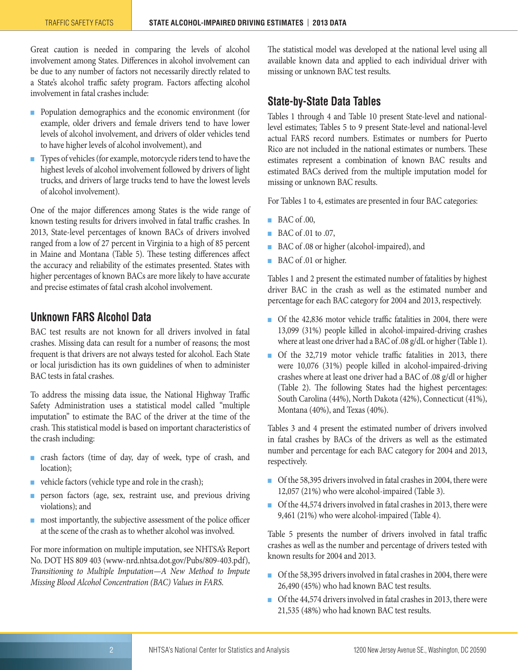Great caution is needed in comparing the levels of alcohol involvement among States. Differences in alcohol involvement can be due to any number of factors not necessarily directly related to a State's alcohol traffic safety program. Factors affecting alcohol involvement in fatal crashes include:

- Population demographics and the economic environment (for example, older drivers and female drivers tend to have lower levels of alcohol involvement, and drivers of older vehicles tend to have higher levels of alcohol involvement), and
- Types of vehicles (for example, motorcycle riders tend to have the highest levels of alcohol involvement followed by drivers of light trucks, and drivers of large trucks tend to have the lowest levels of alcohol involvement).

One of the major differences among States is the wide range of known testing results for drivers involved in fatal traffic crashes. In 2013, State-level percentages of known BACs of drivers involved ranged from a low of 27 percent in Virginia to a high of 85 percent in Maine and Montana (Table 5). These testing differences affect the accuracy and reliability of the estimates presented. States with higher percentages of known BACs are more likely to have accurate and precise estimates of fatal crash alcohol involvement.

# <span id="page-1-0"></span>**Unknown FARS Alcohol Data**

BAC test results are not known for all drivers involved in fatal crashes. Missing data can result for a number of reasons; the most frequent is that drivers are not always tested for alcohol. Each State or local jurisdiction has its own guidelines of when to administer BAC tests in fatal crashes.

To address the missing data issue, the National Highway Traffic Safety Administration uses a statistical model called "multiple imputation" to estimate the BAC of the driver at the time of the crash. This statistical model is based on important characteristics of the crash including:

- crash factors (time of day, day of week, type of crash, and location);
- vehicle factors (vehicle type and role in the crash);
- person factors (age, sex, restraint use, and previous driving violations); and
- most importantly, the subjective assessment of the police officer at the scene of the crash as to whether alcohol was involved.

For more information on multiple imputation, see NHTSA's Report No. DOT HS 809 403 [\(www-nrd.nhtsa.dot.gov/Pubs/809-403.pdf\)](http://www-nrd.nhtsa.dot.gov/Pubs/809-403.pdf), *Transitioning to Multiple Imputation—A New Method to Impute Missing Blood Alcohol Concentration (BAC) Values in FARS*.

The statistical model was developed at the national level using all available known data and applied to each individual driver with missing or unknown BAC test results.

## <span id="page-1-1"></span>**State-by-State Data Tables**

Tables 1 through 4 and Table 10 present State-level and nationallevel estimates; Tables 5 to 9 present State-level and national-level actual FARS record numbers. Estimates or numbers for Puerto Rico are not included in the national estimates or numbers. These estimates represent a combination of known BAC results and estimated BACs derived from the multiple imputation model for missing or unknown BAC results.

For Tables 1 to 4, estimates are presented in four BAC categories:

- BAC of .00,
- BAC of .01 to .07,
- BAC of .08 or higher (alcohol-impaired), and
- BAC of .01 or higher.

Tables 1 and 2 present the estimated number of fatalities by highest driver BAC in the crash as well as the estimated number and percentage for each BAC category for 2004 and 2013, respectively.

- Of the 42,836 motor vehicle traffic fatalities in 2004, there were 13,099 (31%) people killed in alcohol-impaired-driving crashes where at least one driver had a BAC of .08 g/dL or higher (Table 1).
- Of the 32,719 motor vehicle traffic fatalities in 2013, there were 10,076 (31%) people killed in alcohol-impaired-driving crashes where at least one driver had a BAC of .08 g/dl or higher (Table 2). The following States had the highest percentages: South Carolina (44%), North Dakota (42%), Connecticut (41%), Montana (40%), and Texas (40%).

Tables 3 and 4 present the estimated number of drivers involved in fatal crashes by BACs of the drivers as well as the estimated number and percentage for each BAC category for 2004 and 2013, respectively.

- Of the 58,395 drivers involved in fatal crashes in 2004, there were 12,057 (21%) who were alcohol-impaired (Table 3).
- Of the 44,574 drivers involved in fatal crashes in 2013, there were 9,461 (21%) who were alcohol-impaired (Table 4).

Table 5 presents the number of drivers involved in fatal traffic crashes as well as the number and percentage of drivers tested with known results for 2004 and 2013.

- Of the 58,395 drivers involved in fatal crashes in 2004, there were 26,490 (45%) who had known BAC test results.
- Of the 44,574 drivers involved in fatal crashes in 2013, there were 21,535 (48%) who had known BAC test results.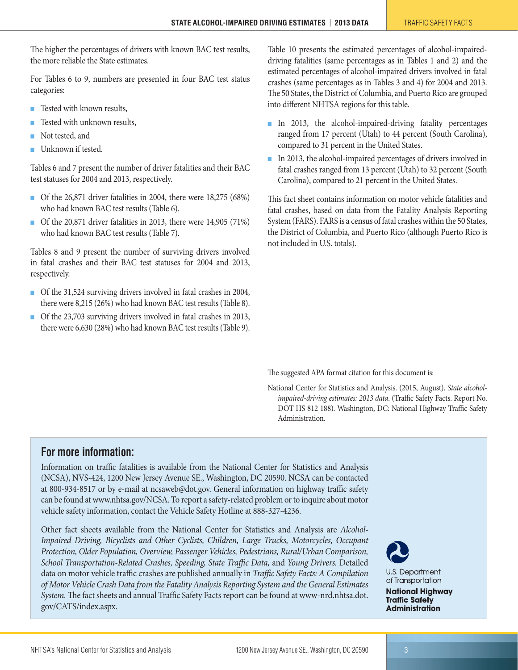The higher the percentages of drivers with known BAC test results, the more reliable the State estimates.

For Tables 6 to 9, numbers are presented in four BAC test status categories:

- Tested with known results,
- Tested with unknown results,
- Not tested, and
- Unknown if tested.

Tables 6 and 7 present the number of driver fatalities and their BAC test statuses for 2004 and 2013, respectively.

- Of the 26,871 driver fatalities in 2004, there were 18,275 (68%) who had known BAC test results (Table 6).
- Of the 20,871 driver fatalities in 2013, there were 14,905 (71%) who had known BAC test results (Table 7).

Tables 8 and 9 present the number of surviving drivers involved in fatal crashes and their BAC test statuses for 2004 and 2013, respectively.

- Of the 31,524 surviving drivers involved in fatal crashes in 2004, there were 8,215 (26%) who had known BAC test results (Table 8).
- Of the 23,703 surviving drivers involved in fatal crashes in 2013, there were 6,630 (28%) who had known BAC test results (Table 9).

Table 10 presents the estimated percentages of alcohol-impaireddriving fatalities (same percentages as in Tables 1 and 2) and the estimated percentages of alcohol-impaired drivers involved in fatal crashes (same percentages as in Tables 3 and 4) for 2004 and 2013. The 50 States, the District of Columbia, and Puerto Rico are grouped into different NHTSA regions for this table.

- In 2013, the alcohol-impaired-driving fatality percentages ranged from 17 percent (Utah) to 44 percent (South Carolina), compared to 31 percent in the United States.
- In 2013, the alcohol-impaired percentages of drivers involved in fatal crashes ranged from 13 percent (Utah) to 32 percent (South Carolina), compared to 21 percent in the United States.

This fact sheet contains information on motor vehicle fatalities and fatal crashes, based on data from the Fatality Analysis Reporting System (FARS). FARS is a census of fatal crashes within the 50 States, the District of Columbia, and Puerto Rico (although Puerto Rico is not included in U.S. totals).

The suggested APA format citation for this document is:

National Center for Statistics and Analysis. (2015, August). *State alcoholimpaired-driving estimates: 2013 data*. (Traffic Safety Facts. Report No. DOT HS 812 188). Washington, DC: National Highway Traffic Safety Administration.

# **For more information:**

Information on traffic fatalities is available from the National Center for Statistics and Analysis (NCSA), NVS-424, 1200 New Jersey Avenue SE., Washington, DC 20590. NCSA can be contacted at 800-934-8517 or by e-mail at [ncsaweb@dot.gov](maiilto:ncsaweb@dot.gov). General information on highway traffic safety can be found at [www.nhtsa.gov/NCSA](http://www.nhtsa.gov/NCSA). To report a safety-related problem or to inquire about motor vehicle safety information, contact the Vehicle Safety Hotline at 888-327-4236.

Other fact sheets available from the National Center for Statistics and Analysis are *Alcohol-Impaired Driving, Bicyclists and Other Cyclists, Children, Large Trucks, Motorcycles, Occupant Protection, Older Population, Overview, Passenger Vehicles, Pedestrians, Rural/Urban Comparison, School Transportation-Related Crashes, Speeding, State Traffic Data,* and *Young Drivers.* Detailed data on motor vehicle traffic crashes are published annually in *Traffic Safety Facts: A Compilation of Motor Vehicle Crash Data from the Fatality Analysis Reporting System and the General Estimates System.* The fact sheets and annual Traffic Safety Facts report can be found at [www-nrd.nhtsa.dot.](http://www-nrd.nhtsa.dot.gov/CATS/index.aspx) [gov/CATS/index.aspx.](http://www-nrd.nhtsa.dot.gov/CATS/index.aspx)



**U.S. Department** of Transportation **National Highway Traffic Safety Administration**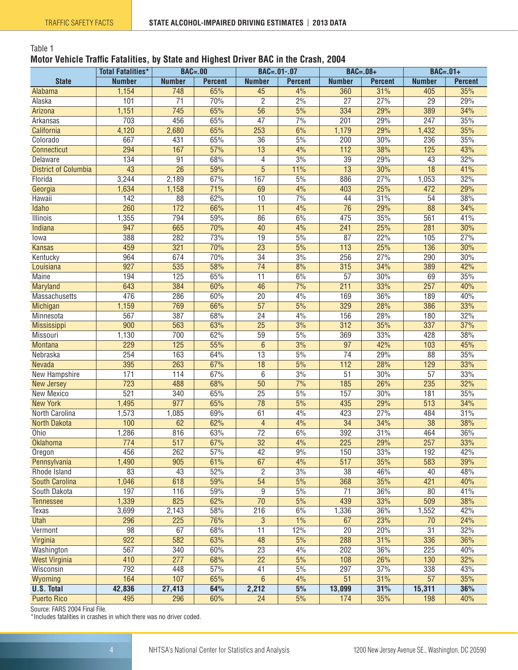#### <span id="page-3-0"></span>Table 1

#### **Motor Vehicle Traffic Fatalities, by State and Highest Driver BAC in the Crash, 2004**

|                             | <b>Total Fatalities*</b> | <b>BAC=.00</b>   |                | $BAC = .01-.07$ |                   | $BAC=.08+$       |                | $BAC=.01+$      |                |
|-----------------------------|--------------------------|------------------|----------------|-----------------|-------------------|------------------|----------------|-----------------|----------------|
| <b>State</b>                | <b>Number</b>            | <b>Number</b>    | <b>Percent</b> | <b>Number</b>   | <b>Percent</b>    | <b>Number</b>    | <b>Percent</b> | <b>Number</b>   | <b>Percent</b> |
| Alabama                     | 1,154                    | 748              | 65%            | 45              | 4%                | 360              | 31%            | 405             | 35%            |
| Alaska                      | 101                      | $\overline{71}$  | 70%            | $\overline{2}$  | $\frac{2\%}{2\%}$ | $\overline{27}$  | 27%            | $\overline{29}$ | 29%            |
| Arizona                     | 1,151                    | 745              | 65%            | 56              | 5%                | 334              | 29%            | 389             | 34%            |
| Arkansas                    | 703                      | 456              | 65%            | $\overline{47}$ | 7%                | 201              | 29%            | 247             | 35%            |
| California                  | 4,120                    | 2,680            | 65%            | 253             | 6%                | 1,179            | 29%            | 1,432           | 35%            |
| Colorado                    | 667                      | 431              | 65%            | $\overline{36}$ | 5%                | 200              | 30%            | 236             | 35%            |
| Connecticut                 | 294                      | 167              | 57%            | $\overline{13}$ | 4%                | $\overline{112}$ | 38%            | 125             | 43%            |
| Delaware                    | 134                      | 91               | 68%            | 4               | 3%                | 39               | 29%            | 43              | 32%            |
| <b>District of Columbia</b> | 43                       | $\overline{26}$  | 59%            | $\overline{5}$  | 11%               | $\overline{13}$  | 30%            | $\overline{18}$ | 41%            |
| Florida                     | 3,244                    | 2,189            | 67%            | 167             | 5%                | 886              | 27%            | 1,053           | 32%            |
| Georgia                     | 1,634                    | 1,158            | 71%            | 69              | 4%                | 403              | 25%            | 472             | 29%            |
| Hawaii                      | $\overline{142}$         | $\overline{88}$  | 62%            | $\overline{10}$ | 7%                | 44               | 31%            | 54              | 38%            |
| Idaho                       | 260                      | 172              | 66%            | $\overline{11}$ | 4%                | $\overline{76}$  | 29%            | $\overline{88}$ | 34%            |
| <b>Illinois</b>             | 1,355                    | 794              | 59%            | 86              | 6%                | 475              | 35%            | 561             | 41%            |
| Indiana                     | 947                      | 665              | 70%            | 40              | 4%                | 241              | 25%            | 281             | 30%            |
| lowa                        | 388                      | 282              | 73%            | $\overline{19}$ | 5%                | $\overline{87}$  | 22%            | 105             | 27%            |
| <b>Kansas</b>               | 459                      | 321              | 70%            | $\overline{23}$ | 5%                | 113              | 25%            | 136             | 30%            |
| Kentucky                    | 964                      | 674              | 70%            | 34              | 3%                | 256              | 27%            | 290             | 30%            |
| Louisiana                   | 927                      | 535              | 58%            | $\overline{74}$ | 8%                | 315              | 34%            | 389             | 42%            |
| <b>Maine</b>                | 194                      | 125              | 65%            | $\overline{11}$ | 6%                | $\overline{57}$  | 30%            | 69              | 35%            |
| Maryland                    | 643                      | 384              | 60%            | 46              | 7%                | 211              | 33%            | 257             | 40%            |
| Massachusetts               | 476                      | 286              | 60%            | $\overline{20}$ | 4%                | 169              | 36%            | 189             | 40%            |
| Michigan                    | 1,159                    | 769              | 66%            | $\overline{57}$ | 5%                | 329              | 28%            | 386             | 33%            |
| Minnesota                   | 567                      | 387              | 68%            | $\overline{24}$ | 4%                | 156              | 28%            | 180             | 32%            |
| Mississippi                 | 900                      | 563              | 63%            | $\overline{25}$ | 3%                | 312              | 35%            | 337             | 37%            |
| Missouri                    | 1,130                    | 700              | 62%            | $\overline{59}$ | 5%                | 369              | 33%            | 428             | 38%            |
| <b>Montana</b>              | 229                      | 125              | 55%            | $\overline{6}$  | 3%                | $\overline{97}$  | 42%            | 103             | 45%            |
| Nebraska                    | 254                      | 163              | 64%            | $\overline{13}$ | 5%                | $\overline{74}$  | 29%            | 88              | 35%            |
| Nevada                      | 395                      | 263              | 67%            | $\overline{18}$ | 5%                | 112              | 28%            | 129             | 33%            |
| New Hampshire               | 171                      | 114              | 67%            | 6               | 3%                | $\overline{51}$  | 30%            | $\overline{57}$ | 33%            |
| <b>New Jersey</b>           | 723                      | 488              | 68%            | 50              | 7%                | 185              | 26%            | 235             | 32%            |
| New Mexico                  | 521                      | 340              | 65%            | $\overline{25}$ | 5%                | 157              | 30%            | 181             | 35%            |
| <b>New York</b>             | 1,495                    | 977              | 65%            | $\overline{78}$ | 5%                | 435              | 29%            | 513             | 34%            |
| North Carolina              | 1,573                    | 1,085            | 69%            | 61              | 4%                | 423              | 27%            | 484             | 31%            |
| <b>North Dakota</b>         | 100                      | 62               | 62%            | $\overline{4}$  | 4%                | $\overline{34}$  | 34%            | 38              | 38%            |
| Ohio                        | 1,286                    | 816              | 63%            | $\overline{72}$ | 6%                | 392              | 31%            | 464             | 36%            |
| Oklahoma                    | $\overline{774}$         | $\overline{517}$ | 67%            | $\overline{32}$ | 4%                | $\overline{225}$ | 29%            | 257             | 33%            |
| Oregon                      | 456                      | 262              | 57%            | 42              | 9%                | 150              | 33%            | 192             | 42%            |
| Pennsylvania                | 1,490                    | 905              | 61%            | 67              | 4%                | 517              | 35%            | 583             | 39%            |
| Rhode Island                | 83                       | 43               | 52%            | $\overline{2}$  | 3%                | $\overline{38}$  | 46%            | 40              | 48%            |
| South Carolina              | 1,046                    | 618              | 59%            | $\overline{54}$ | 5%                | 368              | 35%            | 421             | 40%            |
| South Dakota                | 197                      | 116              | 59%            | $\overline{9}$  | 5%                | 71               | 36%            | 80              | 41%            |
| <b>Tennessee</b>            | 1,339                    | 825              | 62%            | $\overline{70}$ | 5%                | 439              | 33%            | 509             | 38%            |
| Texas                       | 3,699                    | 2,143            | 58%            | 216             | 6%                | 1,336            | 36%            | 1,552           | 42%            |
| <b>Utah</b>                 | 296                      | 225              | 76%            | 3               | 1%                | 67               | 23%            | 70              | 24%            |
| Vermont                     | 98                       | 67               | 68%            | 11              | 12%               | $\overline{20}$  | 20%            | 31              | 32%            |
| Virginia                    | $\overline{922}$         | 582              | 63%            | 48              | 5%                | 288              | 31%            | 336             | 36%            |
| Washington                  | 567                      | 340              | 60%            | $\overline{23}$ | 4%                | 202              | 36%            | 225             | 40%            |
| <b>West Virginia</b>        | 410                      | 277              | 68%            | $\overline{22}$ | 5%                | 108              | 26%            | 130             | 32%            |
| Wisconsin                   | 792                      | 448              | 57%            | 41              | 5%                | 297              | 37%            | 338             | 43%            |
| Wyoming                     | 164                      | 107              | 65%            | $\overline{6}$  | 4%                | $\overline{51}$  | 31%            | 57              | 35%            |
| <b>U.S. Total</b>           | 42,836                   | 27,413           | 64%            | 2,212           | 5%                | 13,099           | 31%            | 15,311          | 36%            |
| <b>Puerto Rico</b>          | 495                      | 296              | 60%            | 24              | 5%                | 174              | 35%            | 198             | 40%            |

Source: FARS 2004 Final File.

\*Includes fatalities in crashes in which there was no driver coded.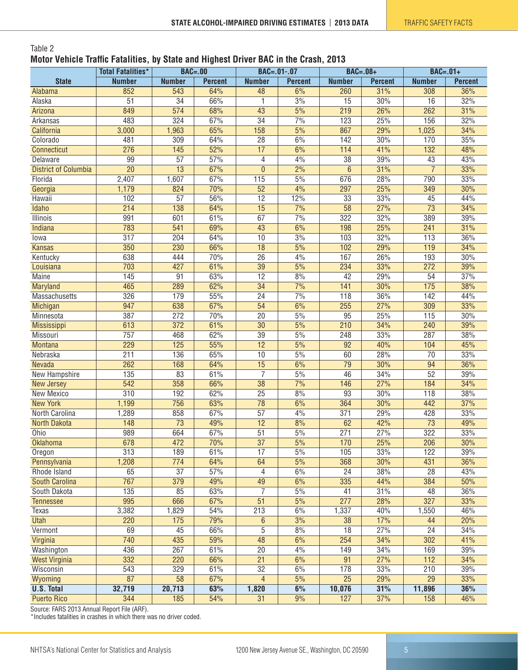#### <span id="page-4-0"></span>Table 2 **Motor Vehicle Traffic Fatalities, by State and Highest Driver BAC in the Crash, 2013**

|                             | <b>Total Fatalities*</b> |                  | <b>BAC=.00</b> |                 | <b>BAC=.01-.07</b> |                  | $BAC=.08+$     | $BAC=.01+$       |                |
|-----------------------------|--------------------------|------------------|----------------|-----------------|--------------------|------------------|----------------|------------------|----------------|
| <b>State</b>                | <b>Number</b>            | <b>Number</b>    | <b>Percent</b> | <b>Number</b>   | <b>Percent</b>     | <b>Number</b>    | <b>Percent</b> | <b>Number</b>    | <b>Percent</b> |
| Alabama                     | 852                      | 543              | 64%            | 48              | 6%                 | 260              | 31%            | 308              | 36%            |
| Alaska                      | $\overline{51}$          | $\overline{34}$  | 66%            | 1               | 3%                 | $\overline{15}$  | 30%            | $\overline{16}$  | 32%            |
| Arizona                     | 849                      | 574              | 68%            | 43              | 5%                 | 219              | 26%            | $\overline{262}$ | 31%            |
| Arkansas                    | 483                      | $\overline{324}$ | 67%            | $\overline{34}$ | 7%                 | 123              | 25%            | 156              | 32%            |
| California                  | 3,000                    | 1,963            | 65%            | 158             | $\frac{5\%}{10}$   | 867              | 29%            | 1,025            | 34%            |
| Colorado                    | 481                      | $\overline{309}$ | 64%            | $\overline{28}$ | 6%                 | 142              | 30%            | 170              | 35%            |
| Connecticut                 | 276                      | 145              | 52%            | $\overline{17}$ | 6%                 | 114              | 41%            | $\overline{132}$ | 48%            |
| Delaware                    | 99                       | $\overline{57}$  | 57%            | 4               | 4%                 | $\overline{38}$  | 39%            | 43               | 43%            |
| <b>District of Columbia</b> | $\overline{20}$          | $\overline{13}$  | 67%            | $\overline{0}$  | 2%                 | $6\phantom{.}6$  | 31%            | $\overline{7}$   | 33%            |
| Florida                     | 2,407                    | 1,607            | 67%            | 115             | 5%                 | 676              | 28%            | 790              | 33%            |
| Georgia                     | 1,179                    | 824              | 70%            | $\overline{52}$ | 4%                 | 297              | 25%            | 349              | 30%            |
| Hawaii                      | 102                      | $\overline{57}$  | 56%            | $\overline{12}$ | 12%                | 33               | 33%            | 45               | 44%            |
| Idaho                       | $\overline{214}$         | 138              | 64%            | $\overline{15}$ | 7%                 | $\overline{58}$  | 27%            | $\overline{73}$  | 34%            |
| Illinois                    | 991                      | 601              | 61%            | 67              | 7%                 | 322              | 32%            | 389              | 39%            |
| Indiana                     | 783                      | 541              | 69%            | 43              | 6%                 | 198              | 25%            | 241              | 31%            |
| lowa                        | $\overline{317}$         | 204              | 64%            | 10              | 3%                 | 103              | 32%            | $\overline{113}$ | 36%            |
| <b>Kansas</b>               | 350                      | 230              | 66%            | $\overline{18}$ | 5%                 | 102              | 29%            | 119              | 34%            |
| Kentucky                    | 638                      | 444              | 70%            | $\overline{26}$ | 4%                 | 167              | 26%            | 193              | 30%            |
| Louisiana                   | 703                      | 427              | 61%            | $\overline{39}$ | 5%                 | 234              | 33%            | 272              | 39%            |
| <b>Maine</b>                | 145                      | 91               | 63%            | $\overline{12}$ | 8%                 | 42               | 29%            | 54               | 37%            |
| <b>Maryland</b>             | 465                      | 289              | 62%            | $\overline{34}$ | 7%                 | 141              | 30%            | $\overline{175}$ | 38%            |
| Massachusetts               | 326                      | 179              | 55%            | $\overline{24}$ | 7%                 | 118              | 36%            | 142              | 44%            |
| Michigan                    | 947                      | 638              | 67%            | $\overline{54}$ | 6%                 | 255              | 27%            | 309              | 33%            |
| Minnesota                   | 387                      | 272              | 70%            | $\overline{20}$ | 5%                 | 95               | 25%            | 115              | 30%            |
| Mississippi                 | 613                      | $\overline{372}$ | 61%            | $\overline{30}$ | $\frac{5\%}{10}$   | $\overline{210}$ | 34%            | 240              | 39%            |
| Missouri                    | 757                      | 468              | 62%            | $\overline{39}$ | 5%                 | 248              | 33%            | 287              | 38%            |
| <b>Montana</b>              | 229                      | 125              | 55%            | 12              | 5%                 | $\overline{92}$  | 40%            | 104              | 45%            |
| Nebraska                    | 211                      | 136              | 65%            | 10              | 5%                 | 60               | 28%            | $\overline{70}$  | 33%            |
| Nevada                      | $\overline{262}$         | 168              | 64%            | $\overline{15}$ | 6%                 | $\overline{79}$  | 30%            | 94               | 36%            |
| New Hampshire               | 135                      | 83               | 61%            | 7               | 5%                 | $\overline{46}$  | 34%            | 52               | 39%            |
| <b>New Jersey</b>           | 542                      | 358              | 66%            | $\overline{38}$ | 7%                 | 146              | 27%            | 184              | 34%            |
| New Mexico                  | 310                      | 192              | 62%            | $\overline{25}$ | 8%                 | 93               | 30%            | 118              | 38%            |
| <b>New York</b>             | 1,199                    | 756              | 63%            | $\overline{78}$ | 6%                 | 364              | 30%            | 442              | 37%            |
| North Carolina              | 1,289                    | 858              | 67%            | $\overline{57}$ | 4%                 | 371              | 29%            | 428              | 33%            |
| <b>North Dakota</b>         | 148                      | 73               | 49%            | 12              | 8%                 | 62               | 42%            | 73               | 49%            |
| Ohio                        | 989                      | 664              | 67%            | $\overline{51}$ | 5%                 | 271              | 27%            | 322              | 33%            |
| <b>Oklahoma</b>             | 678                      | 472              | 70%            | $\overline{37}$ | $\overline{5\%}$   | 170              | 25%            | $\overline{206}$ | 30%            |
| Oregon                      | 313                      | 189              | 61%            | 17              | 5%                 | 105              | 33%            | 122              | 39%            |
| Pennsylvania                | 1,208                    | 774              | 64%            | 64              | 5%                 | 368              | 30%            | 431              | 36%            |
| Rhode Island                | 65                       | $\overline{37}$  | 57%            | 4               | 6%                 | $\overline{24}$  | 38%            | $\overline{28}$  | 43%            |
| <b>South Carolina</b>       | 767                      | 379              | 49%            | 49              | 6%                 | 335              | 44%            | 384              | 50%            |
| South Dakota                | 135                      | 85               | 63%            | $\overline{7}$  | 5%                 | 41               | 31%            | 48               | 36%            |
| <b>Tennessee</b>            | 995                      | 666              | 67%            | $\overline{51}$ | 5%                 | 277              | 28%            | 327              | 33%            |
| <b>Texas</b>                | 3,382                    | 1,829            | 54%            | 213             | 6%                 | 1,337            | 40%            | 1,550            | 46%            |
| <b>Utah</b>                 | 220                      | $\overline{175}$ | 79%            | 6               | 3%                 | $\overline{38}$  | 17%            | 44               | 20%            |
| Vermont                     | 69                       | 45               | 66%            | 5               | 8%                 | 18               | 27%            | 24               | 34%            |
| Virginia                    | 740                      | 435              | 59%            | 48              | 6%                 | 254              | 34%            | 302              | 41%            |
| Washington                  | 436                      | 267              | 61%            | $\overline{20}$ | 4%                 | 149              | 34%            | 169              | 39%            |
| <b>West Virginia</b>        | 332                      | 220              | 66%            | $\overline{21}$ | 6%                 | 91               | 27%            | 112              | 34%            |
| Wisconsin                   | 543                      | 329              | 61%            | $\overline{32}$ | 6%                 | 178              | 33%            | 210              | 39%            |
| Wyoming                     | 87                       | 58               | 67%            | $\overline{4}$  | 5%                 | $\overline{25}$  | 29%            | $\overline{29}$  | 33%            |
| <b>U.S. Total</b>           | 32,719                   | 20,713           | 63%            | 1,820           | 6%                 | 10,076           | 31%            | 11,896           | 36%            |
| <b>Puerto Rico</b>          | 344                      | 185              | 54%            | $\overline{31}$ | 9%                 | 127              | 37%            | 158              | 46%            |

Source: FARS 2013 Annual Report File (ARF).

\*Includes fatalities in crashes in which there was no driver coded.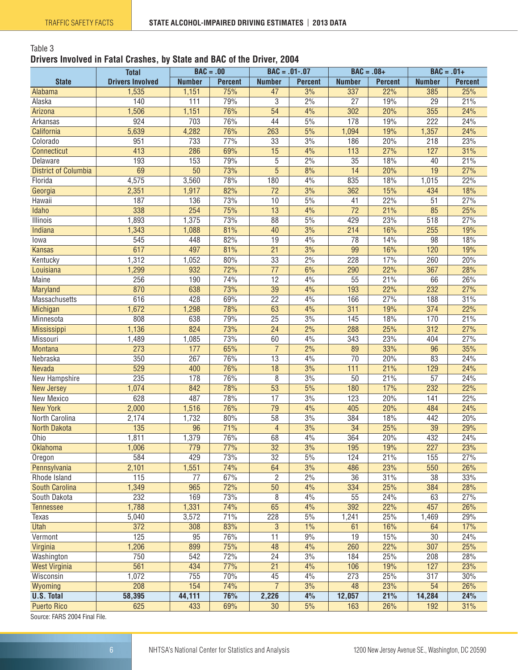#### <span id="page-5-0"></span>Table 3 **Drivers Involved in Fatal Crashes, by State and BAC of the Driver, 2004**

|                             | <b>Total</b>            | $BAC = .00$     |                |                 | $BAC = .01-.07$  | $BAC = .08+$    |                | $BAC = .01+$     |                |
|-----------------------------|-------------------------|-----------------|----------------|-----------------|------------------|-----------------|----------------|------------------|----------------|
| <b>State</b>                | <b>Drivers Involved</b> | <b>Number</b>   | <b>Percent</b> | <b>Number</b>   | <b>Percent</b>   | <b>Number</b>   | <b>Percent</b> | <b>Number</b>    | <b>Percent</b> |
| Alabama                     | 1,535                   | 1,151           | 75%            | 47              | 3%               | 337             | 22%            | 385              | 25%            |
| Alaska                      | 140                     | 111             | 79%            | 3               | 2%               | $\overline{27}$ | 19%            | $\overline{29}$  | 21%            |
| Arizona                     | 1,506                   | 1,151           | 76%            | $\overline{54}$ | 4%               | 302             | 20%            | 355              | 24%            |
| Arkansas                    | 924                     | 703             | 76%            | 44              | 5%               | 178             | 19%            | 222              | 24%            |
| California                  | 5,639                   | 4,282           | 76%            | 263             | 5%               | 1,094           | 19%            | 1,357            | 24%            |
| Colorado                    | 951                     | 733             | 77%            | 33              | 3%               | 186             | 20%            | 218              | 23%            |
| Connecticut                 | 413                     | 286             | 69%            | 15              | 4%               | 113             | 27%            | 127              | 31%            |
| Delaware                    | 193                     | 153             | 79%            | 5               | 2%               | $\overline{35}$ | 18%            | 40               | 21%            |
| <b>District of Columbia</b> | 69                      | $\overline{50}$ | 73%            | $\overline{5}$  | 8%               | $\overline{14}$ | 20%            | $\overline{19}$  | 27%            |
| Florida                     | 4,575                   | 3,560           | 78%            | 180             | 4%               | 835             | 18%            | 1,015            | 22%            |
| Georgia                     | 2,351                   | 1,917           | 82%            | 72              | 3%               | 362             | 15%            | 434              | 18%            |
| Hawaii                      | 187                     | 136             | 73%            | 10              | 5%               | 41              | 22%            | 51               | 27%            |
| Idaho                       | 338                     | 254             | 75%            | 13              | 4%               | $\overline{72}$ | 21%            | 85               | 25%            |
| <b>Illinois</b>             | 1,893                   | 1,375           | 73%            | 88              | 5%               | 429             | 23%            | $\overline{518}$ | 27%            |
| Indiana                     | 1,343                   | 1,088           | 81%            | 40              | 3%               | 214             | 16%            | 255              | 19%            |
| lowa                        | 545                     | 448             | 82%            | 19              | 4%               | 78              | 14%            | 98               | 18%            |
| <b>Kansas</b>               | 617                     | 497             | 81%            | $\overline{21}$ | 3%               | 99              | 16%            | 120              | 19%            |
| Kentucky                    | 1,312                   | 1,052           | 80%            | $\overline{33}$ | 2%               | 228             | 17%            | 260              | 20%            |
| Louisiana                   | 1,299                   | 932             | 72%            | $\overline{77}$ | 6%               | 290             | 22%            | 367              | 28%            |
| Maine                       | 256                     | 190             | 74%            | 12              | 4%               | 55              | 21%            | 66               | 26%            |
| Maryland                    | 870                     | 638             | 73%            | 39              | 4%               | 193             | 22%            | 232              | 27%            |
| Massachusetts               | 616                     | 428             | 69%            | $\overline{22}$ | 4%               | 166             | 27%            | 188              | 31%            |
| Michigan                    | 1,672                   | 1,298           | 78%            | 63              | 4%               | 311             | 19%            | 374              | 22%            |
| Minnesota                   | 808                     | 638             | 79%            | $\overline{25}$ | 3%               | 145             | 18%            | 170              | 21%            |
| Mississippi                 | 1,136                   | 824             | 73%            | $\overline{24}$ | $\frac{2\%}{\ }$ | 288             | 25%            | $\overline{312}$ | 27%            |
| Missouri                    | 1,489                   | 1,085           | 73%            | 60              | 4%               | 343             | 23%            | 404              | 27%            |
| Montana                     | $\overline{273}$        | 177             | 65%            | $\overline{7}$  | 2%               | 89              | 33%            | 96               | 35%            |
| Nebraska                    | 350                     | 267             | 76%            | 13              | 4%               | 70              | 20%            | 83               | 24%            |
| Nevada                      | 529                     | 400             | 76%            | 18              | 3%               | 111             | 21%            | 129              | 24%            |
| New Hampshire               | 235                     | 178             | 76%            | 8               | 3%               | 50              | 21%            | $\overline{57}$  | 24%            |
| <b>New Jersey</b>           | 1,074                   | 842             | 78%            | 53              | 5%               | 180             | 17%            | 232              | 22%            |
| <b>New Mexico</b>           | 628                     | 487             | 78%            | 17              | 3%               | 123             | 20%            | 141              | 22%            |
| <b>New York</b>             | 2,000                   | 1,516           | 76%            | 79              | 4%               | 405             | 20%            | 484              | 24%            |
| North Carolina              | 2,174                   | 1,732           | 80%            | 58              | 3%               | 384             | 18%            | 442              | 20%            |
| North Dakota                | $\overline{135}$        | 96              | 71%            | $\overline{4}$  | 3%               | $\overline{34}$ | 25%            | $\overline{39}$  | 29%            |
| Ohio                        | 1,811                   | 1,379           | 76%            | 68              | 4%               | 364             | 20%            | 432              | 24%            |
| <b>Oklahoma</b>             | 1,006                   | 779             | 77%            | $\overline{32}$ | 3%               | 195             | 19%            | $\overline{227}$ | 23%            |
| Oregon                      | 584                     | 429             | 73%            | 32              | 5%               | 124             | 21%            | 155              | 27%            |
| Pennsylvania                | 2,101                   | 1,551           | 74%            | 64              | 3%               | 486             | 23%            | 550              | 26%            |
| Rhode Island                | 115                     | 77              | 67%            | $\overline{c}$  | 2%               | 36              | 31%            | 38               | 33%            |
| South Carolina              | 1,349                   | 965             | 72%            | 50              | 4%               | 334             | 25%            | 384              | 28%            |
| South Dakota                | 232                     | 169             | 73%            | 8               | 4%               | 55              | 24%            | 63               | 27%            |
| <b>Tennessee</b>            | 1,788                   | 1,331           | 74%            | 65              | 4%               | 392             | 22%            | 457              | 26%            |
| Texas                       | 5,040                   | 3,572           | 71%            | 228             | $5\%$            | 1,241           | 25%            | 1,469            | 29%            |
| Utah                        | 372                     | 308             | 83%            | 3               | 1%               | 61              | 16%            | 64               | 17%            |
| Vermont                     | 125                     | 95              | 76%            | 11              | 9%               | 19              | 15%            | 30               | 24%            |
| Virginia                    | 1,206                   | 899             | 75%            | 48              | 4%               | 260             | 22%            | 307              | 25%            |
| Washington                  | 750                     | 542             | 72%            | $\overline{24}$ | 3%               | 184             | 25%            | 208              | 28%            |
| <b>West Virginia</b>        | 561                     | 434             | 77%            | 21              | 4%               | 106             | 19%            | 127              | 23%            |
| Wisconsin                   | 1,072                   | 755             | 70%            | 45              | 4%               | 273             | 25%            | 317              | 30%            |
| Wyoming                     | 208                     | 154             | 74%            | $\overline{7}$  | 3%               | 48              | 23%            | 54               | 26%            |
| <b>U.S. Total</b>           | 58,395                  | 44,111          | 76%            | 2,226           | 4%               | 12,057          | 21%            | 14,284           | 24%            |
| <b>Puerto Rico</b>          | 625                     | 433             | 69%            | 30              | 5%               | 163             | 26%            | 192              | 31%            |

Source: FARS 2004 Final File.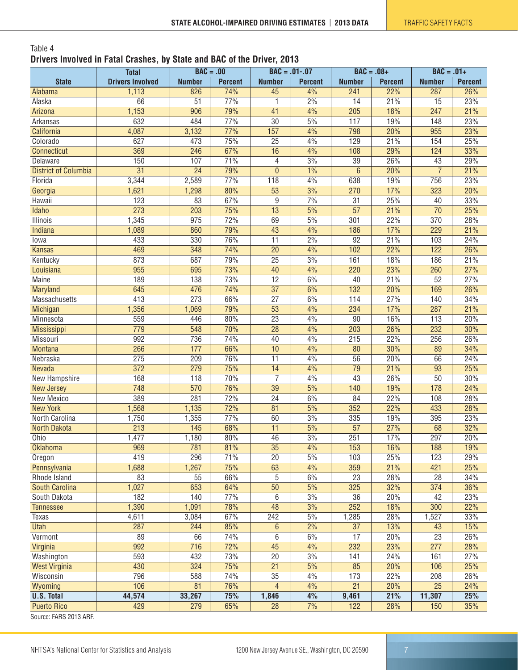#### <span id="page-6-0"></span>Table 4 **Drivers Involved in Fatal Crashes, by State and BAC of the Driver, 2013**

|                             | <b>Total</b>            | $BAC = .00$     |                |                  | $BAC = .01-.07$  | $BAC = .08+$     |                | $BAC = .01+$     |                |
|-----------------------------|-------------------------|-----------------|----------------|------------------|------------------|------------------|----------------|------------------|----------------|
| <b>State</b>                | <b>Drivers Involved</b> | <b>Number</b>   | <b>Percent</b> | <b>Number</b>    | <b>Percent</b>   | <b>Number</b>    | <b>Percent</b> | <b>Number</b>    | <b>Percent</b> |
| Alabama                     | 1,113                   | 826             | 74%            | 45               | 4%               | 241              | 22%            | 287              | 26%            |
| Alaska                      | 66                      | $\overline{51}$ | 77%            | 1                | 2%               | 14               | 21%            | $\overline{15}$  | 23%            |
| Arizona                     | 1,153                   | 906             | 79%            | 41               | 4%               | $\overline{205}$ | 18%            | $\overline{247}$ | 21%            |
| Arkansas                    | 632                     | 484             | 77%            | $\overline{30}$  | 5%               | 117              | 19%            | 148              | 23%            |
| California                  | 4,087                   | 3,132           | 77%            | 157              | 4%               | 798              | 20%            | 955              | 23%            |
| Colorado                    | 627                     | 473             | 75%            | 25               | 4%               | 129              | 21%            | 154              | 25%            |
| Connecticut                 | 369                     | 246             | 67%            | 16               | 4%               | 108              | 29%            | 124              | 33%            |
| Delaware                    | 150                     | 107             | 71%            | 4                | 3%               | 39               | 26%            | 43               | 29%            |
| <b>District of Columbia</b> | $\overline{31}$         | $\overline{24}$ | 79%            | $\mathbf{0}$     | 1%               | $\,6\,$          | 20%            | $\overline{7}$   | 21%            |
| Florida                     | 3,344                   | 2,589           | 77%            | 118              | 4%               | 638              | 19%            | 756              | 23%            |
| Georgia                     | 1,621                   | 1,298           | 80%            | 53               | 3%               | 270              | 17%            | 323              | 20%            |
| Hawaii                      | 123                     | 83              | 67%            | $\boldsymbol{9}$ | 7%               | 31               | 25%            | 40               | 33%            |
| <b>Idaho</b>                | 273                     | 203             | 75%            | 13               | $\overline{5\%}$ | $\overline{57}$  | 21%            | $\overline{70}$  | 25%            |
| <b>Illinois</b>             | 1,345                   | 975             | 72%            | 69               | 5%               | 301              | 22%            | 370              | 28%            |
| Indiana                     | 1,089                   | 860             | 79%            | 43               | 4%               | 186              | 17%            | 229              | 21%            |
| lowa                        | 433                     | 330             | 76%            | $\overline{11}$  | 2%               | $\overline{92}$  | 21%            | 103              | 24%            |
| <b>Kansas</b>               | 469                     | 348             | 74%            | $\overline{20}$  | 4%               | 102              | 22%            | 122              | 26%            |
| Kentucky                    | 873                     | 687             | 79%            | 25               | 3%               | 161              | 18%            | 186              | 21%            |
| Louisiana                   | 955                     | 695             | 73%            | 40               | 4%               | 220              | 23%            | 260              | 27%            |
| <b>Maine</b>                | 189                     | 138             | 73%            | $\overline{12}$  | 6%               | 40               | 21%            | $\overline{52}$  | 27%            |
| Maryland                    | 645                     | 476             | 74%            | $\overline{37}$  | 6%               | $\overline{132}$ | 20%            | 169              | 26%            |
| Massachusetts               | 413                     | 273             | 66%            | $\overline{27}$  | 6%               | 114              | 27%            | 140              | 34%            |
| <b>Michigan</b>             | 1,356                   | 1,069           | 79%            | 53               | 4%               | 234              | 17%            | 287              | 21%            |
| Minnesota                   | 559                     | 446             | 80%            | $\overline{23}$  | 4%               | 90               | 16%            | 113              | 20%            |
| Mississippi                 | $\overline{779}$        | 548             | 70%            | $\overline{28}$  | 4%               | 203              | 26%            | 232              | 30%            |
| Missouri                    | 992                     | 736             | 74%            | 40               | 4%               | 215              | 22%            | 256              | 26%            |
| Montana                     | 266                     | 177             | 66%            | 10               | 4%               | 80               | 30%            | 89               | 34%            |
| Nebraska                    | 275                     | 209             | 76%            | 11               | 4%               | 56               | 20%            | 66               | 24%            |
| Nevada                      | $\overline{372}$        | 279             | 75%            | 14               | 4%               | 79               | 21%            | 93               | 25%            |
|                             | 168                     |                 | 70%            |                  | 4%               | 43               | 26%            | 50               | 30%            |
| New Hampshire               |                         | 118             |                | 7                | 5%               |                  | 19%            |                  | 24%            |
| <b>New Jersey</b>           | 748                     | 570             | 76%            | $\overline{39}$  |                  | 140              |                | 178              |                |
| New Mexico                  | 389                     | 281             | 72%            | 24               | $6\%$            | 84               | 22%            | 108              | 28%            |
| <b>New York</b>             | 1,568                   | 1,135           | 72%            | 81               | 5%               | 352              | 22%            | 433              | 28%            |
| North Carolina              | 1,750                   | 1,355           | 77%            | 60               | 3%               | 335              | 19%            | 395              | 23%            |
| <b>North Dakota</b>         | 213                     | 145             | 68%            | $\overline{11}$  | $\frac{5\%}{10}$ | $\overline{57}$  | 27%            | 68               | 32%            |
| Ohio                        | 1,477                   | 1,180           | 80%            | 46               | 3%               | 251              | 17%            | 297              | 20%            |
| Oklahoma                    | 969                     | 781             | 81%            | $\overline{35}$  | 4%               | 153              | 16%            | 188              | 19%            |
| Oregon                      | 419                     | 296             | 71%            | 20               | $5\%$            | 103              | 25%            | 123              | 29%            |
| Pennsylvania                | 1,688                   | 1,267           | 75%            | 63               | 4%               | 359              | 21%            | 421              | 25%            |
| Rhode Island                | 83                      | 55              | 66%            | 5                | 6%               | 23               | 28%            | 28               | 34%            |
| South Carolina              | 1,027                   | 653             | 64%            | 50               | 5%               | 325              | 32%            | 374              | 36%            |
| South Dakota                | 182                     | 140             | 77%            | 6                | 3%               | 36               | 20%            | 42               | 23%            |
| <b>Tennessee</b>            | 1,390                   | 1,091           | 78%            | 48               | 3%               | 252              | 18%            | 300              | 22%            |
| Texas                       | 4,611                   | 3,084           | 67%            | 242              | 5%               | 1,285            | 28%            | 1,527            | 33%            |
| <b>Utah</b>                 | 287                     | 244             | 85%            | 6                | 2%               | 37               | 13%            | 43               | 15%            |
| Vermont                     | 89                      | 66              | 74%            | 6                | 6%               | 17               | 20%            | $\overline{23}$  | 26%            |
| Virginia                    | 992                     | 716             | 72%            | 45               | 4%               | 232              | 23%            | 277              | 28%            |
| Washington                  | 593                     | 432             | 73%            | 20               | 3%               | 141              | 24%            | 161              | 27%            |
| <b>West Virginia</b>        | 430                     | 324             | 75%            | 21               | 5%               | 85               | 20%            | 106              | 25%            |
| Wisconsin                   | 796                     | 588             | 74%            | 35               | 4%               | 173              | 22%            | 208              | 26%            |
| Wyoming                     | 106                     | 81              | 76%            | $\overline{4}$   | 4%               | 21               | 20%            | 25               | 24%            |
| <b>U.S. Total</b>           | 44,574                  | 33,267          | 75%            | 1,846            | 4%               | 9,461            | 21%            | 11,307           | 25%            |
| <b>Puerto Rico</b>          | 429                     | 279             | 65%            | $\overline{28}$  | 7%               | 122              | 28%            | 150              | 35%            |
| EADO 0010 ADE               |                         |                 |                |                  |                  |                  |                |                  |                |

Source: FARS 2013 ARF.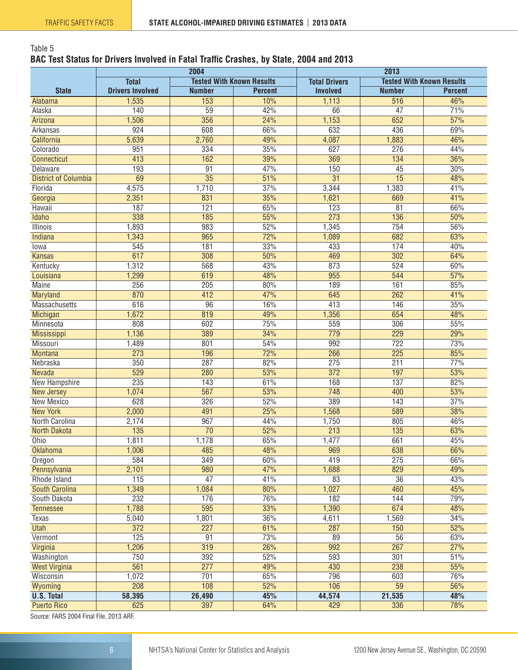## <span id="page-7-0"></span>Table 5 **BAC Test Status for Drivers Involved in Fatal Traffic Crashes, by State, 2004 and 2013**

|                             |                         |                                  | 2004<br>2013   |                      |                                  |                |  |
|-----------------------------|-------------------------|----------------------------------|----------------|----------------------|----------------------------------|----------------|--|
|                             | <b>Total</b>            | <b>Tested With Known Results</b> |                | <b>Total Drivers</b> | <b>Tested With Known Results</b> |                |  |
| <b>State</b>                | <b>Drivers Involved</b> | <b>Number</b>                    | <b>Percent</b> | <b>Involved</b>      | <b>Number</b>                    | <b>Percent</b> |  |
| Alabama                     | 1,535                   | 153                              | 10%            | 1,113                | 516                              | 46%            |  |
| Alaska                      | 140                     | $\overline{59}$                  | 42%            | 66                   | 47                               | 71%            |  |
| Arizona                     | 1,506                   | 356                              | 24%            | 1,153                | 652                              | 57%            |  |
| Arkansas                    | 924                     | 608                              | 66%            | 632                  | 436                              | 69%            |  |
| California                  | 5,639                   | 2,760                            | 49%            | 4,087                | 1,883                            | 46%            |  |
| Colorado                    | 951                     | 334                              | 35%            | 627                  | 276                              | 44%            |  |
| <b>Connecticut</b>          | 413                     | 162                              | 39%            | 369                  | 134                              | 36%            |  |
| Delaware                    | 193                     | 91                               | 47%            | 150                  | 45                               | 30%            |  |
| <b>District of Columbia</b> | 69                      | $\overline{35}$                  | 51%            | $\overline{31}$      | $\overline{15}$                  | 48%            |  |
| Florida                     | 4,575                   | 1,710                            | 37%            | 3,344                | 1,383                            | 41%            |  |
| Georgia                     | 2,351                   | 831                              | 35%            | 1,621                | 669                              | 41%            |  |
| Hawaii                      | 187                     | 121                              | 65%            | 123                  | $\overline{81}$                  | 66%            |  |
| Idaho                       | 338                     | 185                              | 55%            | 273                  | 136                              | 50%            |  |
| <b>Illinois</b>             | 1,893                   | 983                              | 52%            | 1,345                | 754                              | 56%            |  |
| Indiana                     | 1,343                   | 965                              | 72%            | 1,089                | 682                              | 63%            |  |
| lowa                        | 545                     | 181                              | 33%            | 433                  | 174                              | 40%            |  |
| <b>Kansas</b>               | 617                     | 308                              | 50%            | 469                  | 302                              | 64%            |  |
| Kentucky                    | 1,312                   | 568                              | 43%            | 873                  | 524                              | 60%            |  |
| Louisiana                   | 1,299                   | 619                              | 48%            | 955                  | 544                              | 57%            |  |
| <b>Maine</b>                | 256                     | $\overline{205}$                 | 80%            | 189                  | 161                              | 85%            |  |
| Maryland                    | 870                     | $\overline{412}$                 | 47%            | 645                  | $\overline{262}$                 | 41%            |  |
| Massachusetts               | 616                     | $\overline{96}$                  | 16%            | 413                  | 146                              | 35%            |  |
| Michigan                    | 1,672                   | 819                              | 49%            | 1,356                | 654                              | 48%            |  |
| Minnesota                   | 808                     | 602                              | 75%            | 559                  | 306                              | 55%            |  |
| <b>Mississippi</b>          | 1,136                   | 389                              | 34%            | 779                  | 229                              | 29%            |  |
| Missouri                    | 1,489                   | 801                              | 54%            | 992                  | 722                              | 73%            |  |
| <b>Montana</b>              | 273                     | 196                              | 72%            | 266                  | 225                              | 85%            |  |
| Nebraska                    | 350                     | 287                              | 82%            | 275                  | 211                              | 77%            |  |
| Nevada                      | 529                     | 280                              | 53%            | $\overline{372}$     | 197                              | 53%            |  |
| New Hampshire               | 235                     | $\overline{143}$                 | 61%            | 168                  | 137                              | 82%            |  |
| <b>New Jersey</b>           | 1,074                   | 567                              | 53%            | 748                  | 400                              | 53%            |  |
| <b>New Mexico</b>           | 628                     | 326                              | 52%            | 389                  | 143                              | 37%            |  |
| <b>New York</b>             | 2,000                   | 491                              | 25%            | 1,568                | 589                              | 38%            |  |
| North Carolina              | 2,174                   | 967                              | 44%            | 1,750                | 805                              | 46%            |  |
| <b>North Dakota</b>         | 135                     | $\overline{70}$                  | 52%            | 213                  | 135                              | 63%            |  |
| Ohio                        | 1,811                   | 1,178                            | 65%            | 1,477                | 661                              | 45%            |  |
| <b>Oklahoma</b>             | 1,006                   | 485                              | 48%            | 969                  | 638                              | 66%            |  |
| Oregon                      | 584                     | 349                              | 60%            | 419                  | 275                              | 66%            |  |
| Pennsylvania                | 2,101                   | 980                              | 47%            | 1,688                | 829                              | 49%            |  |
| Rhode Island                | 115                     | $\overline{47}$                  | 41%            | 83                   | $\overline{36}$                  | 43%            |  |
| <b>South Carolina</b>       | 1,349                   | 1,084                            | 80%            | 1,027                | 460                              | 45%            |  |
| South Dakota                | 232                     | 176                              | 76%            | 182                  | 144                              | 79%            |  |
| <b>Tennessee</b>            | 1,788                   | 595                              | 33%            | 1,390                | 674                              | 48%            |  |
| <b>Texas</b>                | 5,040                   | 1,801                            | 36%            | 4,611                | 1,569                            | 34%            |  |
| <b>Utah</b>                 | $\overline{372}$        | $\overline{227}$                 | 61%            | 287                  | 150                              | 52%            |  |
| Vermont                     | 125                     | 91                               | 73%            | 89                   | 56                               | 63%            |  |
| Virginia                    | 1,206                   | 319                              | 26%            | 992                  | 267                              | 27%            |  |
| Washington                  | 750                     | 392                              | 52%            | 593                  | 301                              | 51%            |  |
| <b>West Virginia</b>        | 561                     | 277                              | 49%            | 430                  | 238                              | 55%            |  |
| Wisconsin                   | 1,072                   | 701                              | 65%            | 796                  | 603                              | 76%            |  |
| Wyoming                     | 208                     | 108                              | 52%            | 106                  | 59                               | 56%            |  |
| <b>U.S. Total</b>           | 58,395                  | 26,490                           | 45%            | 44,574               | 21,535                           | 48%            |  |
| <b>Puerto Rico</b>          | 625                     | 397                              | 64%            | 429                  | 336                              | 78%            |  |
| $0.0001$ $F$<br>and more    |                         |                                  |                |                      |                                  |                |  |

Source: FARS 2004 Final File, 2013 ARF.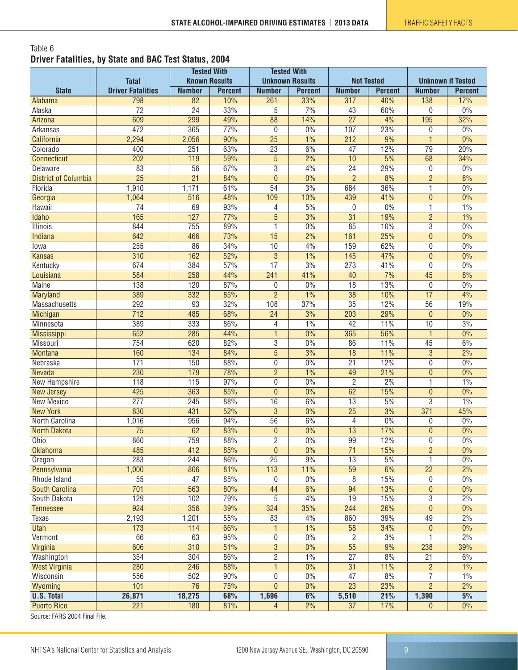#### <span id="page-8-0"></span>Table 6 **Driver Fatalities, by State and BAC Test Status, 2004**

|                                                    |                          | <b>Tested With</b>   |                | <b>Tested With</b> |                        |                   |                |                          |                |
|----------------------------------------------------|--------------------------|----------------------|----------------|--------------------|------------------------|-------------------|----------------|--------------------------|----------------|
|                                                    | <b>Total</b>             | <b>Known Results</b> |                |                    | <b>Unknown Results</b> | <b>Not Tested</b> |                | <b>Unknown if Tested</b> |                |
| <b>State</b>                                       | <b>Driver Fatalities</b> | <b>Number</b>        | <b>Percent</b> | <b>Number</b>      | <b>Percent</b>         | <b>Number</b>     | <b>Percent</b> | <b>Number</b>            | <b>Percent</b> |
| Alabama                                            | 798                      | 82                   | 10%            | 261                | 33%                    | 317               | 40%            | 138                      | 17%            |
| Alaska                                             | $\overline{72}$          | $\overline{24}$      | 33%            | 5                  | 7%                     | 43                | 60%            | $\mathbf{0}$             | 0%             |
| Arizona                                            | 609                      | 299                  | 49%            | 88                 | 14%                    | $\overline{27}$   | 4%             | 195                      | 32%            |
| Arkansas                                           | 472                      | 365                  | 77%            | 0                  | $0\%$                  | 107               | 23%            | 0                        | 0%             |
| California                                         | 2,294                    | 2,056                | 90%            | $\overline{25}$    | 1%                     | 212               | 9%             | $\mathbf{1}$             | 0%             |
| Colorado                                           | 400                      | 251                  | 63%            | $\overline{23}$    | 6%                     | 47                | 12%            | $\overline{79}$          | 20%            |
| Connecticut                                        | 202                      | 119                  | 59%            | $\overline{5}$     | 2%                     | 10                | 5%             | 68                       | 34%            |
| Delaware                                           | 83                       | 56                   | 67%            | $\overline{3}$     | 4%                     | $\overline{24}$   | 29%            | 0                        | 0%             |
| <b>District of Columbia</b>                        | $\overline{25}$          | $\overline{21}$      | 84%            | $\overline{0}$     | $0\%$                  | $\overline{2}$    | 8%             | $\overline{2}$           | 8%             |
| Florida                                            | 1,910                    | 1,171                | 61%            | 54                 | 3%                     | 684               | 36%            | 1                        | 0%             |
| Georgia                                            | 1,064                    | 516                  | 48%            | 109                | 10%                    | 439               | 41%            | $\mathbf{0}$             | 0%             |
| Hawaii                                             | $\overline{74}$          | 69                   | 93%            | 4                  | 5%                     | 0                 | 0%             | $\mathbf{1}$             | 1%             |
| Idaho                                              | 165                      | 127                  | 77%            | $\overline{5}$     | 3%                     | $\overline{31}$   | 19%            | $\overline{2}$           | 1%             |
| Illinois                                           | 844                      | 755                  | 89%            | 1                  | 0%                     | 85                | 10%            | 3                        | 0%             |
| <b>Indiana</b>                                     | 642                      | 466                  | 73%            | 15                 | 2%                     | 161               | 25%            | $\theta$                 | $0\%$          |
| lowa                                               | 255                      | 86                   | 34%            | 10                 | 4%                     | 159               | 62%            | $\mathbf{0}$             | 0%             |
| <b>Kansas</b>                                      | 310                      | 162                  | 52%            | $\overline{3}$     | $1\%$                  | 145               | 47%            | $\theta$                 | 0%             |
| Kentucky                                           | 674                      | 384                  | 57%            | $\overline{17}$    | 3%                     | $\overline{273}$  | 41%            | $\mathbf 0$              | 0%             |
| Louisiana                                          | 584                      | 258                  | 44%            | $\overline{241}$   | 41%                    | $\overline{40}$   | 7%             | $\overline{45}$          | 8%             |
| <b>Maine</b>                                       | 138                      | 120                  | 87%            | $\overline{0}$     | 0%                     | $\overline{18}$   | 13%            | 0                        | 0%             |
| Maryland                                           | 389                      | 332                  | 85%            | $\overline{2}$     | 1%                     | $\overline{38}$   | 10%            | $\overline{17}$          | 4%             |
| Massachusetts                                      | 292                      | 93                   | 32%            | 108                | 37%                    | $\overline{35}$   | 12%            | 56                       | 19%            |
| Michigan                                           | 712                      | 485                  | 68%            | $\overline{24}$    | 3%                     | 203               | 29%            | $\mathbf{0}$             | 0%             |
| Minnesota                                          | 389                      | 333                  | 86%            | 4                  | 1%                     | $\overline{42}$   | 11%            | 10                       | 3%             |
| <b>Mississippi</b>                                 | 652                      | 285                  | 44%            | $\overline{1}$     | 0%                     | 365               | 56%            | $\overline{1}$           | 0%             |
| Missouri                                           | 754                      | 620                  | 82%            | 3                  | 0%                     | 86                | 11%            | 45                       | 6%             |
| <b>Montana</b>                                     | 160                      | 134                  | 84%            | $\overline{5}$     | 3%                     | $\overline{18}$   | 11%            | $\overline{3}$           | 2%             |
| Nebraska                                           | $\overline{171}$         | 150                  | 88%            | $\overline{0}$     | 0%                     | $\overline{21}$   | 12%            | $\mathbf{0}$             | 0%             |
| Nevada                                             | 230                      | 179                  | 78%            | $\overline{2}$     | 1%                     | 49                | 21%            | $\theta$                 | 0%             |
| New Hampshire                                      | 118                      | 115                  | 97%            | 0                  | 0%                     | $\overline{c}$    | 2%             | 1                        | 1%             |
| New Jersey                                         | 425                      | 363                  | 85%            | $\overline{0}$     | $0\%$                  | 62                | 15%            | $\theta$                 | 0%             |
| New Mexico                                         | $\overline{277}$         | 245                  | 88%            | 16                 | 6%                     | $\overline{13}$   | 5%             | $\overline{3}$           | 1%             |
| <b>New York</b>                                    | 830                      | 431                  | 52%            | $\overline{3}$     | $0\%$                  | $\overline{25}$   | 3%             | 371                      | 45%            |
| North Carolina                                     | 1,016                    | 956                  | 94%            | $\overline{56}$    | 6%                     | 4                 | 0%             | $\mathbf{0}$             | $0\%$          |
| <b>North Dakota</b>                                | $\overline{75}$          | 62                   | 83%            | $\mathbf{0}$       | 0%                     | 13                | 17%            | $\mathbf{0}$             | 0%             |
| Ohio                                               | 860                      | 759                  | 88%            | $\overline{2}$     | 0%                     | 99                | 12%            | $\mathbf 0$              | 0%             |
| <b>Oklahoma</b>                                    | 485                      | 412                  | 85%            | $\pmb{0}$          | $0\%$                  | $\overline{71}$   | 15%            | $\overline{c}$           | 0%             |
| Oregon                                             | 283                      | 244                  | 86%            | $\overline{25}$    | 9%                     | 13                | 5%             | $\mathbf{1}$             | 0%             |
| Pennsylvania                                       | 1,000                    | 806                  | 81%            | $\overline{113}$   | 11%                    | 59                | 6%             | $\overline{22}$          | 2%             |
| Rhode Island                                       | 55                       | 47                   | 85%            | 0                  | $0\%$                  | 8                 | 15%            | 0                        | $0\%$          |
| <b>South Carolina</b>                              | 701                      | 563                  | 80%            | 44                 | 6%                     | $\overline{94}$   | 13%            | $\overline{0}$           | 0%             |
| South Dakota                                       | 129                      | 102                  | 79%            | $\overline{5}$     | 4%                     | 19                | 15%            | $\mathbf 3$              | 2%             |
| <b>Tennessee</b>                                   | $\overline{924}$         | 356                  | 39%            | 324                | 35%                    | 244               | 26%            | $\mathbf{0}$             | $0\%$          |
| Texas                                              | 2,193                    | 1,201                | 55%            | 83                 | 4%                     | 860               | 39%            | 49                       | 2%             |
| <b>Utah</b>                                        | 173                      | 114                  | 66%            | 1                  | 1%                     | $\overline{58}$   | 34%            | $\pmb{0}$                | $0\%$          |
| Vermont                                            | 66                       | 63                   | 95%            | $\overline{0}$     | 0%                     | $\overline{2}$    | 3%             | 1                        | 2%             |
| Virginia                                           | 606                      | 310                  | 51%            | $\overline{3}$     | 0%                     | $\overline{55}$   | 9%             | 238                      | 39%            |
| Washington                                         | 354                      | 304                  | 86%            | $\overline{2}$     | $1\%$                  | $\overline{27}$   | 8%             | $\overline{21}$          | 6%             |
| <b>West Virginia</b>                               | 280                      | 246                  | 88%            | $\mathbf{1}$       | $0\%$                  | 31                | 11%            | $\overline{2}$           | $1\%$          |
| Wisconsin                                          | 556                      | 502                  | 90%            | 0                  | 0%                     | 47                | 8%             | 7                        | 1%             |
| Wyoming                                            | 101                      | 76                   | 75%            | $\pmb{0}$          | $0\%$                  | 23                | 23%            | $\overline{2}$           | 2%             |
| <b>U.S. Total</b>                                  | 26,871                   | 18,275               | 68%            | 1,696              | 6%                     | 5,510             | 21%            | 1,390                    | 5%             |
| <b>Puerto Rico</b><br>Course: EADC 2004 Final File | 221                      | 180                  | 81%            | 4                  | 2%                     | 37                | 17%            | $\mathbf{0}$             | $0\%$          |

Source: FARS 2004 Final File.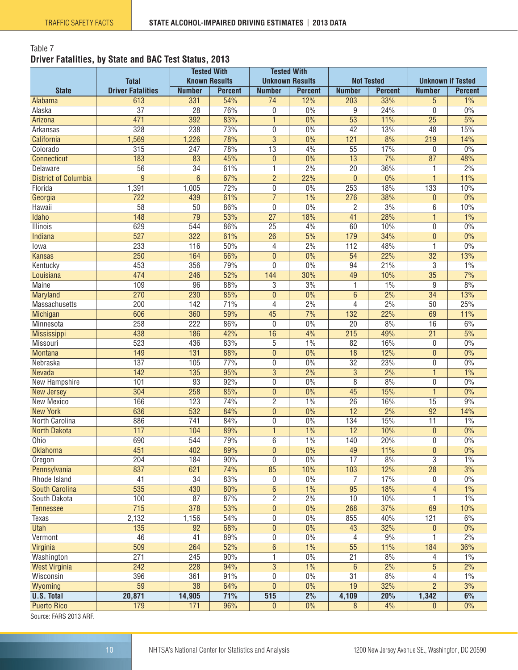#### <span id="page-9-0"></span>Table 7 **Driver Fatalities, by State and BAC Test Status, 2013**

|                                     |                                          | <b>Tested With</b><br><b>Known Results</b> |                | <b>Tested With</b><br><b>Unknown Results</b> |                | <b>Not Tested</b> |                  | <b>Unknown if Tested</b> |                 |
|-------------------------------------|------------------------------------------|--------------------------------------------|----------------|----------------------------------------------|----------------|-------------------|------------------|--------------------------|-----------------|
| <b>State</b>                        | <b>Total</b><br><b>Driver Fatalities</b> | <b>Number</b>                              | <b>Percent</b> | <b>Number</b>                                | <b>Percent</b> | <b>Number</b>     | <b>Percent</b>   | <b>Number</b>            | <b>Percent</b>  |
|                                     | 613                                      | 331                                        | 54%            | $\overline{74}$                              | 12%            | 203               | 33%              | 5                        | 1%              |
| Alabama<br>Alaska                   | $\overline{37}$                          | $\overline{28}$                            | 76%            | 0                                            | 0%             | 9                 | 24%              | 0                        | 0%              |
| Arizona                             | 471                                      | 392                                        | 83%            | $\mathbf{1}$                                 | 0%             | $\overline{53}$   | 11%              | $\overline{25}$          | 5%              |
| Arkansas                            | 328                                      | 238                                        | 73%            | 0                                            | 0%             | 42                | 13%              | 48                       | 15%             |
| California                          | 1,569                                    | 1,226                                      | 78%            | $\overline{3}$                               | 0%             | 121               | 8%               | 219                      | 14%             |
| Colorado                            | 315                                      | 247                                        | 78%            | $\overline{13}$                              | 4%             | $\overline{55}$   | 17%              | 0                        | 0%              |
| <b>Connecticut</b>                  | 183                                      | 83                                         | 45%            | $\bf{0}$                                     | 0%             | $\overline{13}$   | 7%               | 87                       | 48%             |
| Delaware                            | $\overline{56}$                          | $\overline{34}$                            | 61%            | 1                                            | 2%             | $\overline{20}$   | 36%              | 1                        | 2%              |
| <b>District of Columbia</b>         | $\overline{9}$                           | $\overline{6}$                             | 67%            | $\overline{2}$                               | 22%            | $\overline{0}$    | 0%               | $\mathbf{1}$             | 11%             |
| Florida                             | 1,391                                    | 1,005                                      | 72%            | 0                                            | 0%             | 253               | 18%              | 133                      | 10%             |
| Georgia                             | $\overline{722}$                         | 439                                        | 61%            | $\overline{7}$                               | 1%             | 276               | 38%              | $\pmb{0}$                | 0%              |
| Hawaii                              | $\overline{58}$                          | $\overline{50}$                            | 86%            | 0                                            | 0%             | $\overline{2}$    | 3%               | 6                        | 10%             |
| Idaho                               | 148                                      | $\overline{79}$                            | 53%            | $\overline{27}$                              | 18%            | 41                | 28%              | $\mathbf{1}$             | 1%              |
| Illinois                            | 629                                      | 544                                        | 86%            | $\overline{25}$                              | 4%             | 60                | 10%              | 0                        | 0%              |
| Indiana                             | 527                                      | 322                                        | 61%            | $\overline{26}$                              | 5%             | 179               | 34%              | $\overline{0}$           | 0%              |
| lowa                                | 233                                      | 116                                        | 50%            | 4                                            | 2%             | 112               | 48%              | 1                        | 0%              |
| <b>Kansas</b>                       | 250                                      | 164                                        | 66%            | $\overline{0}$                               | 0%             | 54                | 22%              | $\overline{32}$          | 13%             |
| Kentucky                            | 453                                      | 356                                        | 79%            | 0                                            | 0%             | 94                | 21%              | 3                        | 1%              |
| Louisiana                           | 474                                      | 246                                        | 52%            | 144                                          | 30%            | $\overline{49}$   | 10%              | $\overline{35}$          | $\frac{7\%}{ }$ |
| <b>Maine</b>                        | 109                                      | 96                                         | 88%            | $\overline{3}$                               | 3%             | 1                 | 1%               | 9                        | 8%              |
| Maryland                            | 270                                      | 230                                        | 85%            | $\overline{0}$                               | 0%             | $\overline{6}$    | 2%               | $\overline{34}$          | 13%             |
| Massachusetts                       | 200                                      | 142                                        | 71%            | 4                                            | 2%             | 4                 | 2%               | $\overline{50}$          | 25%             |
| <b>Michigan</b>                     | 606                                      | 360                                        | 59%            | 45                                           | 7%             | 132               | 22%              | 69                       | 11%             |
| Minnesota                           | 258                                      | $\overline{222}$                           | 86%            | 0                                            | 0%             | $\overline{20}$   | 8%               | $\overline{16}$          | 6%              |
| Mississippi                         | 438                                      | 186                                        | 42%            | 16                                           | 4%             | 215               | 49%              | $\overline{21}$          | 5%              |
| Missouri                            | 523                                      | 436                                        | 83%            | 5                                            | 1%             | 82                | 16%              | 0                        | 0%              |
| <b>Montana</b>                      | 149                                      | $\overline{131}$                           | 88%            | $\mathbf{0}$                                 | 0%             | $\overline{18}$   | 12%              | $\pmb{0}$                | 0%              |
| Nebraska                            | 137                                      | 105                                        | 77%            | 0                                            | 0%             | $\overline{32}$   | 23%              | 0                        | 0%              |
| <b>Nevada</b>                       | 142                                      | $\overline{135}$                           | 95%            | $\overline{3}$                               | 2%             | $\overline{3}$    | 2%               | 1                        | 1%              |
| New Hampshire                       | 101                                      | 93                                         | 92%            | 0                                            | 0%             | $\overline{8}$    | 8%               | $\boldsymbol{0}$         | 0%              |
| <b>New Jersey</b>                   | 304                                      | 258                                        | 85%            | $\overline{0}$                               | 0%             | 45                | 15%              | $\overline{1}$           | 0%              |
| <b>New Mexico</b>                   | 166                                      | 123                                        | 74%            | $\overline{2}$                               | 1%             | $\overline{26}$   | 16%              | 15                       | 9%              |
| <b>New York</b>                     | 636                                      | 532                                        | 84%            | $\mathbf{0}$                                 | 0%             | $\overline{12}$   | $\frac{2\%}{\ }$ | $\overline{92}$          | 14%             |
| North Carolina                      | 886                                      | $\overline{741}$                           | 84%            | 0                                            | 0%             | 134               | 15%              | $\overline{11}$          | 1%              |
| <b>North Dakota</b>                 | 117                                      | 104                                        | 89%            | $\mathbf{1}$                                 | 1%             | $\overline{12}$   | 10%              | $\pmb{0}$                | 0%              |
| Ohio                                | 690                                      | 544                                        | 79%            | 6                                            | 1%             | 140               | 20%              | 0                        | 0%              |
| <b>Oklahoma</b>                     | 451                                      | 402                                        | 89%            | $\boldsymbol{0}$                             | 0%             | 49                | 11%              | 0                        | 0%              |
| Oregon                              | 204                                      | 184                                        | 90%            | 0                                            | 0%             | $\overline{17}$   | 8%               | $\overline{3}$           | 1%              |
| Pennsylvania                        | 837                                      | 621                                        | 74%            | 85                                           | 10%            | 103               | 12%              | $\overline{28}$          | 3%              |
| Rhode Island                        | 41                                       | 34                                         | 83%            | 0                                            | 0%             | 7                 | 17%              | 0                        | $0\%$           |
| <b>South Carolina</b>               | 535                                      | 430                                        | 80%            | 6                                            | $1\%$          | 95                | 18%              | $\overline{4}$           | $1\%$           |
| South Dakota                        | 100                                      | 87                                         | 87%            | $\overline{c}$                               | 2%             | 10                | 10%              | 1                        | 1%              |
| <b>Tennessee</b>                    | $\overline{715}$                         | 378                                        | 53%            | $\pmb{0}$                                    | $0\%$          | 268               | 37%              | 69                       | 10%             |
| Texas                               | 2,132                                    | 1,156                                      | 54%            | 0                                            | $0\%$          | 855               | 40%              | 121                      | 6%              |
| <b>Utah</b>                         | $\overline{135}$                         | $\overline{92}$                            | 68%            | $\pmb{0}$                                    | $0\%$          | 43                | 32%              | $\pmb{0}$                | 0%              |
| Vermont                             | 46                                       | 41                                         | 89%            | $\overline{0}$                               | 0%             | 4                 | 9%               | 1                        | 2%              |
| Virginia                            | 509                                      | 264                                        | 52%            | $6\phantom{a}$                               | 1%             | $\overline{55}$   | 11%              | 184                      | 36%             |
| Washington                          | 271                                      | 245                                        | 90%            | 1                                            | 0%             | $\overline{21}$   | 8%               |                          | 1%              |
| <b>West Virginia</b>                | 242                                      | 228                                        | 94%            | $\overline{3}$                               | 1%             | $6\overline{6}$   | 2%               | 4<br>$\overline{5}$      | 2%              |
| Wisconsin                           | 396                                      | 361                                        | 91%            | 0                                            | 0%             | 31                | 8%               | 4                        | 1%              |
| Wyoming                             | 59                                       | $\overline{38}$                            | 64%            | $\overline{0}$                               | $0\%$          | 19                | 32%              | $\overline{2}$           | 3%              |
| <b>U.S. Total</b>                   | 20,871                                   | 14,905                                     | 71%            | 515                                          | 2%             |                   | 20%              |                          | 6%              |
|                                     |                                          |                                            |                |                                              |                | 4,109             |                  | 1,342                    |                 |
| <b>Puerto Rico</b><br>FADO 0040 ADE | 179                                      | 171                                        | 96%            | $\mathbf{0}$                                 | $0\%$          | 8                 | 4%               | 0                        | $0\%$           |

Source: FARS 2013 ARF.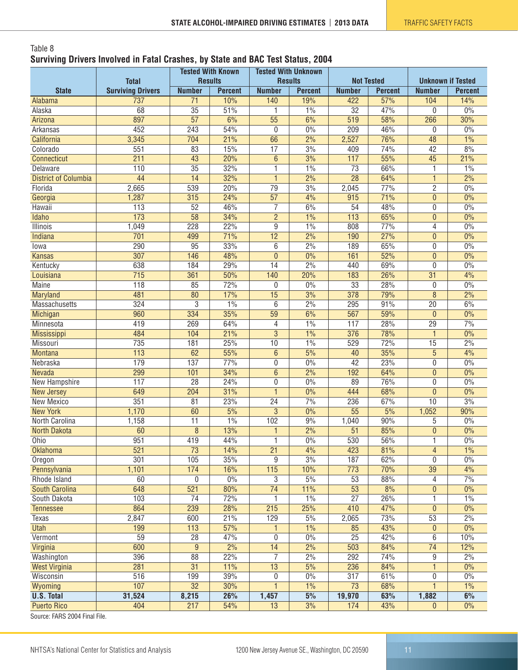#### <span id="page-10-0"></span>Table 8 **Surviving Drivers Involved in Fatal Crashes, by State and BAC Test Status, 2004**

|                                                    | <b>Total</b>             | <b>Tested With Known</b><br><b>Results</b> |                | <b>Tested With Unknown</b><br><b>Results</b> |                   | <b>Not Tested</b> |                | <b>Unknown if Tested</b> |                |
|----------------------------------------------------|--------------------------|--------------------------------------------|----------------|----------------------------------------------|-------------------|-------------------|----------------|--------------------------|----------------|
| <b>State</b>                                       | <b>Surviving Drivers</b> | <b>Number</b>                              | <b>Percent</b> | <b>Number</b>                                | <b>Percent</b>    | <b>Number</b>     | <b>Percent</b> | <b>Number</b>            | <b>Percent</b> |
| Alabama                                            | 737                      | $\overline{71}$                            | 10%            | 140                                          | 19%               | 422               | 57%            | 104                      | 14%            |
| Alaska                                             | 68                       | $\overline{35}$                            | 51%            | 1                                            | 1%                | 32                | 47%            | 0                        | 0%             |
| Arizona                                            | 897                      | $\overline{57}$                            | 6%             | $\overline{55}$                              | 6%                | 519               | 58%            | 266                      | 30%            |
| Arkansas                                           | 452                      | 243                                        | 54%            | $\boldsymbol{0}$                             | $0\%$             | 209               | 46%            | 0                        | 0%             |
| California                                         | 3,345                    | 704                                        | 21%            | 66                                           | 2%                | 2,527             | 76%            | $\overline{48}$          | 1%             |
| Colorado                                           | 551                      | 83                                         | 15%            | $\overline{17}$                              | 3%                | 409               | 74%            | 42                       | 8%             |
| Connecticut                                        | 211                      | 43                                         | 20%            | $\overline{6}$                               | 3%                | 117               | 55%            | 45                       | 21%            |
| Delaware                                           | 110                      | $\overline{35}$                            | 32%            | 1                                            | 1%                | $\overline{73}$   | 66%            | 1                        | 1%             |
| <b>District of Columbia</b>                        | 44                       | $\overline{14}$                            | 32%            | $\mathbf{1}$                                 | 2%                | $\overline{28}$   | 64%            | 1                        | 2%             |
| Florida                                            | 2,665                    | 539                                        | 20%            | 79                                           | 3%                | 2,045             | 77%            | $\overline{2}$           | 0%             |
| Georgia                                            | 1,287                    | 315                                        | 24%            | $\overline{57}$                              | 4%                | 915               | 71%            | $\overline{0}$           | 0%             |
| Hawaii                                             | 113                      | $\overline{52}$                            | 46%            | $\overline{7}$                               | 6%                | 54                | 48%            | 0                        | 0%             |
| <b>Idaho</b>                                       | $\overline{173}$         | 58                                         | 34%            | $\overline{2}$                               | 1%                | 113               | 65%            | $\overline{0}$           | $0\%$          |
| Illinois                                           | 1,049                    | 228                                        | 22%            | 9                                            | 1%                | 808               | 77%            | 4                        | 0%             |
| <b>Indiana</b>                                     | 701                      | 499                                        | 71%            | 12                                           | 2%                | 190               | 27%            | 0                        | 0%             |
| lowa                                               | 290                      | 95                                         | 33%            | 6                                            | 2%                | 189               | 65%            | 0                        | 0%             |
| <b>Kansas</b>                                      | 307                      | 146                                        | 48%            | $\mathbf{0}$                                 | 0%                | 161               | 52%            | $\pmb{0}$                | 0%             |
| Kentucky                                           | 638                      | 184                                        | 29%            | 14                                           | 2%                | 440               | 69%            | 0                        | 0%             |
| Louisiana                                          | 715                      | 361                                        | 50%            | 140                                          | 20%               | 183               | 26%            | $\overline{31}$          | 4%             |
| <b>Maine</b>                                       | 118                      | 85                                         | 72%            | 0                                            | 0%                | $\overline{33}$   | 28%            | 0                        | 0%             |
| <b>Maryland</b>                                    | 481                      | $\overline{80}$                            | 17%            | $\overline{15}$                              | 3%                | 378               | 79%            | $\overline{8}$           | 2%             |
| Massachusetts                                      | 324                      | $\overline{3}$                             | 1%             | 6                                            | 2%                | 295               | 91%            | $\overline{20}$          | 6%             |
| Michigan                                           | 960                      | 334                                        | 35%            | 59                                           | 6%                | 567               | 59%            | 0                        | 0%             |
| Minnesota                                          | 419                      | 269                                        | 64%            | 4                                            | 1%                | 117               | 28%            | 29                       | 7%             |
| <b>Mississippi</b>                                 | 484                      | 104                                        | 21%            | 3                                            | 1%                | 376               | 78%            | $\mathbf{1}$             | 0%             |
| Missouri                                           | 735                      | 181                                        | 25%            | 10                                           | 1%                | 529               | 72%            | 15                       | 2%             |
| <b>Montana</b>                                     | 113                      | 62                                         | 55%            | $\boldsymbol{6}$                             | 5%                | 40                | 35%            | $\overline{5}$           | 4%             |
| Nebraska                                           | 179                      | 137                                        | 77%            | $\overline{0}$                               | 0%                | $\overline{42}$   | 23%            | 0                        | 0%             |
| Nevada                                             | 299                      | 101                                        | 34%            | $\overline{6}$                               | $\frac{2\%}{2\%}$ | 192               | 64%            | $\pmb{0}$                | 0%             |
| New Hampshire                                      | 117                      | $\overline{28}$                            | 24%            | $\overline{0}$                               | 0%                | 89                | 76%            | $\boldsymbol{0}$         | 0%             |
| <b>New Jersey</b>                                  | 649                      | 204                                        | 31%            | $\overline{1}$                               | 0%                | 444               | 68%            | $\overline{0}$           | 0%             |
| New Mexico                                         | 351                      | 81                                         | 23%            | $\overline{24}$                              | 7%                | 236               | 67%            | 10                       | 3%             |
| <b>New York</b>                                    | 1,170                    | 60                                         | 5%             | $\overline{3}$                               | 0%                | $\overline{55}$   | 5%             | 1,052                    | 90%            |
| North Carolina                                     | 1,158                    | $\overline{11}$                            | 1%             | 102                                          | 9%                | 1,040             | 90%            | 5                        | 0%             |
| <b>North Dakota</b>                                | 60                       | 8                                          | 13%            | 1                                            | 2%                | $\overline{51}$   | 85%            | 0                        | 0%             |
| Ohio                                               | 951                      | 419                                        | 44%            | 1                                            | 0%                | 530               | 56%            | 1                        | 0%             |
| <b>Oklahoma</b>                                    | 521                      | 73                                         | 14%            | 21                                           | 4%                | 423               | 81%            | $\overline{4}$           | 1%             |
| Oregon                                             | 301                      | 105                                        | 35%            | 9                                            | 3%                | 187               | 62%            | 0                        | $0\%$          |
| Pennsylvania                                       | 1,101                    | 174                                        | 16%            | $\overline{115}$                             | 10%               | 773               | 70%            | $\overline{39}$          | 4%             |
| Rhode Island                                       | 60                       | $\boldsymbol{0}$                           | $0\%$          | 3                                            | 5%                | 53                | 88%            | $\overline{4}$           | 7%             |
| <b>South Carolina</b>                              | 648                      | 521                                        | 80%            | $\overline{74}$                              | 11%               | 53                | 8%             | $\overline{0}$           | 0%             |
| South Dakota                                       | 103                      | $\overline{74}$                            | 72%            | 1                                            | 1%                | $\overline{27}$   | 26%            | 1                        | 1%             |
| <b>Tennessee</b>                                   | 864                      | 239                                        | 28%            | 215                                          | 25%               | 410               | 47%            | $\overline{0}$           | 0%             |
| Texas                                              | 2,847                    | 600                                        | 21%            | 129                                          | 5%                | 2,065             | 73%            | 53                       | 2%             |
| <b>Utah</b>                                        | 199                      | 113                                        | 57%            | 1                                            | 1%                | 85                | 43%            | $\pmb{0}$                | $0\%$          |
| Vermont                                            | 59                       | $\overline{28}$                            | 47%            | $\overline{0}$                               | 0%                | $\overline{25}$   | 42%            | $6\overline{6}$          | 10%            |
| Virginia                                           | 600                      | $\overline{9}$                             | 2%             | 14                                           | 2%                | 503               | 84%            | $\overline{74}$          | 12%            |
| Washington                                         | 396                      | 88                                         | 22%            | 7                                            | 2%                | 292               | 74%            | 9                        | 2%             |
| <b>West Virginia</b>                               | 281                      | $\overline{31}$                            | 11%            | 13                                           | 5%                | 236               | 84%            | 1                        | $0\%$          |
| Wisconsin                                          | 516                      | 199                                        | 39%            | 0                                            | $0\%$             | 317               | 61%            | 0                        | $0\%$          |
| Wyoming                                            | 107                      | $\overline{32}$                            | 30%            | $\mathbf{1}$                                 | $1\%$             | 73                | 68%            | 1                        | 1%             |
| <b>U.S. Total</b>                                  | 31,524                   | 8,215                                      | 26%            | 1,457                                        | 5%                | 19,970            | 63%            | 1,882                    | 6%             |
| <b>Puerto Rico</b><br>Course: FADC 0004 Final File | 404                      | 217                                        | 54%            | 13                                           | 3%                | 174               | 43%            | $\mathbf 0$              | $0\%$          |

Source: FARS 2004 Final File.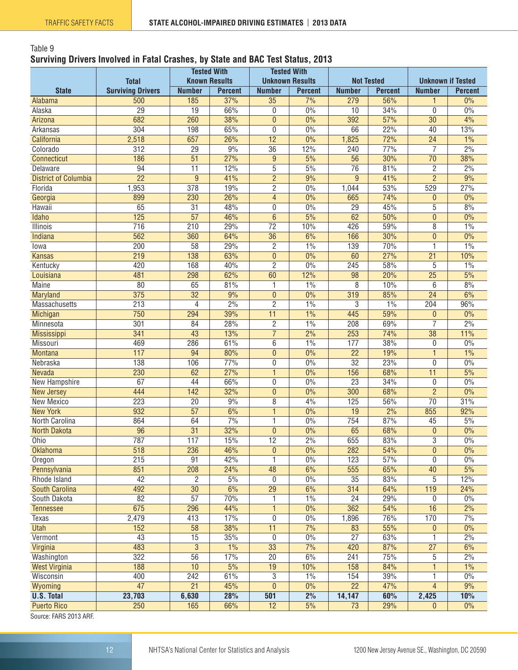#### <span id="page-11-0"></span>Table 9 **Surviving Drivers Involved in Fatal Crashes, by State and BAC Test Status, 2013**

|                             |                                 | <b>Tested With</b><br><b>Known Results</b> |                       | <b>Tested With</b><br><b>Unknown Results</b> |                      | <b>Not Tested</b>    |                       |                 |                          |
|-----------------------------|---------------------------------|--------------------------------------------|-----------------------|----------------------------------------------|----------------------|----------------------|-----------------------|-----------------|--------------------------|
|                             | <b>Total</b>                    |                                            |                       |                                              |                      |                      |                       |                 | <b>Unknown if Tested</b> |
| <b>State</b>                | <b>Surviving Drivers</b><br>500 | <b>Number</b><br>185                       | <b>Percent</b><br>37% | <b>Number</b><br>$\overline{35}$             | <b>Percent</b><br>7% | <b>Number</b><br>279 | <b>Percent</b><br>56% | <b>Number</b>   | <b>Percent</b><br>0%     |
| Alabama<br>Alaska           | $\overline{29}$                 | 19                                         | 66%                   | 0                                            | 0%                   | 10                   | 34%                   | 1<br>0          | 0%                       |
| Arizona                     | 682                             | 260                                        | 38%                   | $\mathbf{0}$                                 | 0%                   | 392                  | 57%                   | $\overline{30}$ | 4%                       |
| Arkansas                    | 304                             | 198                                        | 65%                   | 0                                            | 0%                   | 66                   | 22%                   | 40              | 13%                      |
| California                  | 2,518                           | 657                                        | 26%                   | 12                                           | 0%                   | 1,825                | 72%                   | $\overline{24}$ | 1%                       |
| Colorado                    | $\overline{312}$                | $\overline{29}$                            | 9%                    | $\overline{36}$                              | 12%                  | 240                  | 77%                   | $\overline{7}$  | 2%                       |
| <b>Connecticut</b>          | 186                             | $\overline{51}$                            | 27%                   | $\overline{9}$                               | 5%                   | 56                   | 30%                   | $\overline{70}$ | 38%                      |
| Delaware                    | $\overline{94}$                 | $\overline{11}$                            | 12%                   | $\overline{5}$                               | 5%                   | $\overline{76}$      | 81%                   | $\overline{2}$  | 2%                       |
| <b>District of Columbia</b> | $\overline{22}$                 | $\overline{9}$                             | 41%                   | $\overline{2}$                               | 9%                   | 9                    | 41%                   | $\overline{2}$  | 9%                       |
| Florida                     | 1,953                           | 378                                        | 19%                   | $\overline{2}$                               | 0%                   | 1,044                | 53%                   | 529             | 27%                      |
| Georgia                     | 899                             | 230                                        | 26%                   | $\overline{4}$                               | 0%                   | 665                  | 74%                   | 0               | 0%                       |
| Hawaii                      | 65                              | $\overline{31}$                            | 48%                   | 0                                            | 0%                   | $\overline{29}$      | 45%                   | $\overline{5}$  | 8%                       |
| Idaho                       | 125                             | $\overline{57}$                            | 46%                   | $\overline{6}$                               | 5%                   | 62                   | 50%                   | $\mathbf{0}$    | 0%                       |
| Illinois                    | $\overline{716}$                | $\overline{210}$                           | 29%                   | $\overline{72}$                              | 10%                  | 426                  | 59%                   | 8               | 1%                       |
| <b>Indiana</b>              | 562                             | 360                                        | 64%                   | $\overline{36}$                              | 6%                   | 166                  | 30%                   | $\overline{0}$  | 0%                       |
| lowa                        | 200                             | 58                                         | 29%                   | 2                                            | 1%                   | 139                  | 70%                   | 1               | 1%                       |
| <b>Kansas</b>               | 219                             | 138                                        | 63%                   | $\mathbf{0}$                                 | 0%                   | 60                   | 27%                   | $\overline{21}$ | 10%                      |
| Kentucky                    | 420                             | 168                                        | 40%                   | $\overline{2}$                               | 0%                   | 245                  | 58%                   | 5               | 1%                       |
| Louisiana                   | 481                             | 298                                        | 62%                   | 60                                           | 12%                  | 98                   | 20%                   | $\overline{25}$ | 5%                       |
| <b>Maine</b>                | $\overline{80}$                 | 65                                         | 81%                   |                                              | 1%                   | 8                    | 10%                   | 6               | 8%                       |
| Maryland                    | 375                             | $\overline{32}$                            | 9%                    | $\mathbf{0}$                                 | 0%                   | 319                  | 85%                   | $\overline{24}$ | 6%                       |
| Massachusetts               | $\overline{213}$                | 4                                          | 2%                    | $\overline{2}$                               | 1%                   | 3                    | 1%                    | 204             | 96%                      |
| Michigan                    | 750                             | 294                                        | 39%                   | $\overline{11}$                              | 1%                   | 445                  | 59%                   | $\overline{0}$  | 0%                       |
| Minnesota                   | 301                             | 84                                         | 28%                   | 2                                            | 1%                   | 208                  | 69%                   | 7               | 2%                       |
| <b>Mississippi</b>          | 341                             | 43                                         | 13%                   | $\overline{7}$                               | 2%                   | 253                  | 74%                   | $\overline{38}$ | 11%                      |
| Missouri                    | 469                             | 286                                        | 61%                   | 6                                            | 1%                   | 177                  | 38%                   | 0               | 0%                       |
| <b>Montana</b>              | 117                             | 94                                         | 80%                   | $\mathbf{0}$                                 | $\overline{0\%}$     | $\overline{22}$      | 19%                   | $\mathbf{1}$    | 1%                       |
| Nebraska                    | 138                             | 106                                        | 77%                   | 0                                            | 0%                   | $\overline{32}$      | 23%                   | $\mathbf 0$     | 0%                       |
| Nevada                      | 230                             | 62                                         | 27%                   | $\mathbf{1}$                                 | 0%                   | 156                  | 68%                   | $\overline{11}$ | 5%                       |
| New Hampshire               | 67                              | 44                                         | 66%                   | 0                                            | 0%                   | $\overline{23}$      | 34%                   | 0               | 0%                       |
| <b>New Jersey</b>           | 444                             | 142                                        | 32%                   | $\overline{0}$                               | $0\%$                | 300                  | 68%                   | $\overline{2}$  | $0\%$                    |
| New Mexico                  | 223                             | 20                                         | 9%                    | 8                                            | 4%                   | 125                  | 56%                   | $\overline{70}$ | 31%                      |
| <b>New York</b>             | 932                             | $\overline{57}$                            | 6%                    | $\mathbf{1}$                                 | 0%                   | 19                   | 2%                    | 855             | 92%                      |
| North Carolina              | 864                             | 64                                         | 7%                    | 1                                            | 0%                   | 754                  | 87%                   | 45              | 5%                       |
| <b>North Dakota</b>         | $\overline{96}$                 | $\overline{31}$                            | 32%                   | $\mathbf{0}$                                 | 0%                   | 65                   | 68%                   | 0               | 0%                       |
| Ohio                        | 787                             | 117                                        | 15%                   | $\overline{12}$                              | 2%                   | 655                  | 83%                   | $\overline{3}$  | 0%                       |
| <b>Oklahoma</b>             | 518                             | 236                                        | 46%                   | $\pmb{0}$                                    | $0\%$                | 282                  | 54%                   | $\pmb{0}$       | $0\%$                    |
| Oregon                      | 215                             | 91                                         | 42%                   | 1                                            | $0\%$                | 123                  | 57%                   | 0               | 0%                       |
| Pennsylvania                | 851                             | 208                                        | 24%                   | 48                                           | 6%                   | 555                  | 65%                   | 40              | 5%                       |
| Rhode Island                | 42                              | $\overline{c}$                             | $5\%$                 | 0                                            | $0\%$                | 35                   | 83%                   | 5               | 12%                      |
| <b>South Carolina</b>       | 492                             | $\overline{30}$                            | 6%                    | $\overline{29}$                              | 6%                   | 314                  | 64%                   | 119             | 24%                      |
| South Dakota                | $\overline{82}$                 | $\overline{57}$                            | 70%                   | 1                                            | $1\%$                | 24                   | 29%                   | 0               | $0\%$                    |
| <b>Tennessee</b>            | 675                             | 296                                        | 44%                   | $\mathbf{1}$                                 | $0\%$                | 362                  | 54%                   | 16              | 2%                       |
| Texas                       | 2,479                           | 413                                        | 17%                   | 0                                            | 0%                   | 1,896                | 76%                   | 170             | 7%                       |
| <b>Utah</b>                 | 152                             | $\overline{58}$                            | 38%                   | 11                                           | 7%                   | 83                   | 55%                   | 0               | 0%                       |
| Vermont                     | $\overline{43}$                 | $\overline{15}$                            | 35%                   | 0                                            | 0%                   | $\overline{27}$      | 63%                   | 1               | 2%                       |
| Virginia                    | 483                             | $\overline{3}$                             | 1%                    | $\overline{33}$                              | 7%                   | 420                  | 87%                   | $\overline{27}$ | 6%                       |
| Washington                  | 322                             | $\overline{56}$                            | 17%                   | $\overline{20}$                              | 6%                   | 241                  | 75%                   | 5               | 2%                       |
| <b>West Virginia</b>        | 188                             | 10                                         | 5%                    | 19                                           | 10%                  | 158                  | 84%                   | 1               | $1\%$                    |
| Wisconsin                   | 400                             | 242                                        | 61%                   | 3                                            | 1%                   | 154                  | 39%                   | 1               | 0%                       |
| Wyoming                     | $\overline{47}$                 | 21                                         | 45%                   | $\mathbf{0}$                                 | $0\%$                | $\overline{22}$      | 47%                   | 4               | 9%                       |
| <b>U.S. Total</b>           | 23,703                          | 6,630                                      | 28%                   | 501                                          | 2%                   | 14,147               | 60%                   | 2,425           | 10%                      |
| <b>Puerto Rico</b>          | 250                             | 165                                        | 66%                   | $\overline{12}$                              | 5%                   | 73                   | 29%                   | $\mathbf{0}$    | $0\%$                    |
| Course: EADC 2012 ADE       |                                 |                                            |                       |                                              |                      |                      |                       |                 |                          |

Source: FARS 2013 ARF.